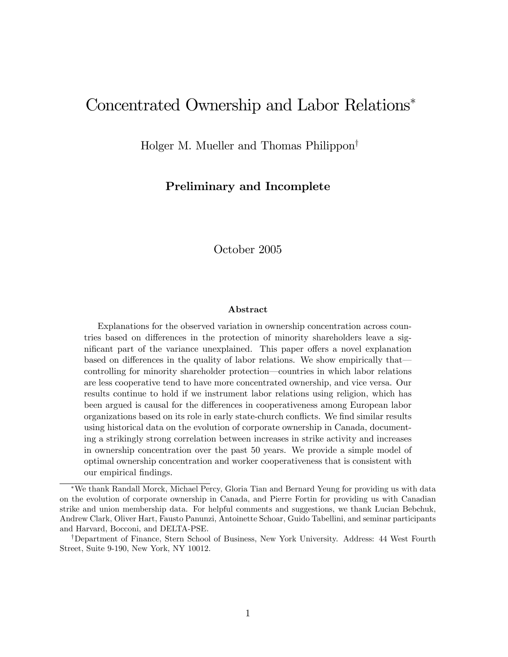# Concentrated Ownership and Labor Relations

Holger M. Mueller and Thomas Philippon<sup>†</sup>

### Preliminary and Incomplete

October 2005

#### Abstract

Explanations for the observed variation in ownership concentration across countries based on differences in the protection of minority shareholders leave a significant part of the variance unexplained. This paper offers a novel explanation based on differences in the quality of labor relations. We show empirically that controlling for minority shareholder protection—countries in which labor relations are less cooperative tend to have more concentrated ownership, and vice versa. Our results continue to hold if we instrument labor relations using religion, which has been argued is causal for the differences in cooperativeness among European labor organizations based on its role in early state-church conflicts. We find similar results using historical data on the evolution of corporate ownership in Canada, documenting a strikingly strong correlation between increases in strike activity and increases in ownership concentration over the past 50 years. We provide a simple model of optimal ownership concentration and worker cooperativeness that is consistent with our empirical findings.

We thank Randall Morck, Michael Percy, Gloria Tian and Bernard Yeung for providing us with data on the evolution of corporate ownership in Canada, and Pierre Fortin for providing us with Canadian strike and union membership data. For helpful comments and suggestions, we thank Lucian Bebchuk, Andrew Clark, Oliver Hart, Fausto Panunzi, Antoinette Schoar, Guido Tabellini, and seminar participants and Harvard, Bocconi, and DELTA-PSE.

<sup>&</sup>lt;sup>†</sup>Department of Finance, Stern School of Business, New York University. Address: 44 West Fourth Street, Suite 9-190, New York, NY 10012.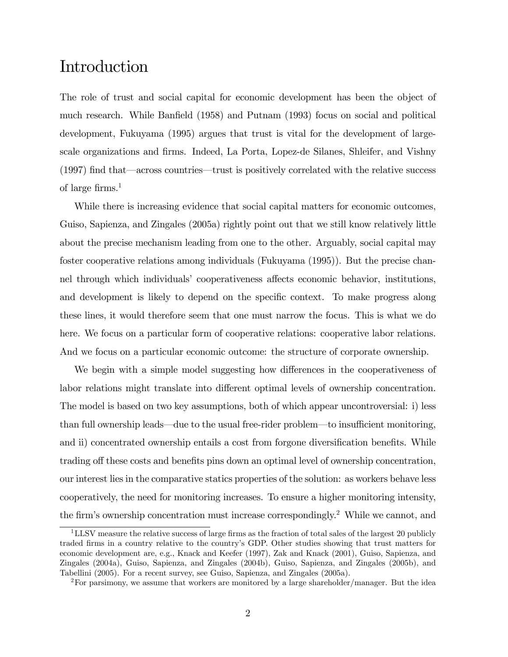# Introduction

The role of trust and social capital for economic development has been the object of much research. While Banfield (1958) and Putnam (1993) focus on social and political development, Fukuyama (1995) argues that trust is vital for the development of largescale organizations and firms. Indeed, La Porta, Lopez-de Silanes, Shleifer, and Vishny  $(1997)$  find that—across countries—trust is positively correlated with the relative success of large firms.<sup>1</sup>

While there is increasing evidence that social capital matters for economic outcomes, Guiso, Sapienza, and Zingales (2005a) rightly point out that we still know relatively little about the precise mechanism leading from one to the other. Arguably, social capital may foster cooperative relations among individuals (Fukuyama (1995)). But the precise channel through which individuals' cooperativeness affects economic behavior, institutions, and development is likely to depend on the specific context. To make progress along these lines, it would therefore seem that one must narrow the focus. This is what we do here. We focus on a particular form of cooperative relations: cooperative labor relations. And we focus on a particular economic outcome: the structure of corporate ownership.

We begin with a simple model suggesting how differences in the cooperativeness of labor relations might translate into different optimal levels of ownership concentration. The model is based on two key assumptions, both of which appear uncontroversial: i) less than full ownership leads—due to the usual free-rider problem—to insufficient monitoring, and ii) concentrated ownership entails a cost from forgone diversification benefits. While trading off these costs and benefits pins down an optimal level of ownership concentration, our interest lies in the comparative statics properties of the solution: as workers behave less cooperatively, the need for monitoring increases. To ensure a higher monitoring intensity, the firm's ownership concentration must increase correspondingly.<sup>2</sup> While we cannot, and

<sup>&</sup>lt;sup>1</sup>LLSV measure the relative success of large firms as the fraction of total sales of the largest 20 publicly traded Örms in a country relative to the countryís GDP. Other studies showing that trust matters for economic development are, e.g., Knack and Keefer (1997), Zak and Knack (2001), Guiso, Sapienza, and Zingales (2004a), Guiso, Sapienza, and Zingales (2004b), Guiso, Sapienza, and Zingales (2005b), and Tabellini (2005). For a recent survey, see Guiso, Sapienza, and Zingales (2005a).

<sup>2</sup>For parsimony, we assume that workers are monitored by a large shareholder/manager. But the idea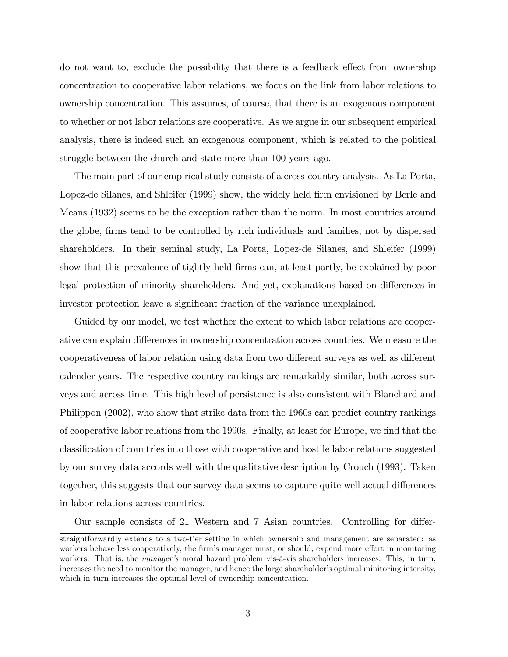do not want to, exclude the possibility that there is a feedback effect from ownership concentration to cooperative labor relations, we focus on the link from labor relations to ownership concentration. This assumes, of course, that there is an exogenous component to whether or not labor relations are cooperative. As we argue in our subsequent empirical analysis, there is indeed such an exogenous component, which is related to the political struggle between the church and state more than 100 years ago.

The main part of our empirical study consists of a cross-country analysis. As La Porta, Lopez-de Silanes, and Shleifer (1999) show, the widely held firm envisioned by Berle and Means (1932) seems to be the exception rather than the norm. In most countries around the globe, firms tend to be controlled by rich individuals and families, not by dispersed shareholders. In their seminal study, La Porta, Lopez-de Silanes, and Shleifer (1999) show that this prevalence of tightly held Örms can, at least partly, be explained by poor legal protection of minority shareholders. And yet, explanations based on differences in investor protection leave a significant fraction of the variance unexplained.

Guided by our model, we test whether the extent to which labor relations are cooperative can explain differences in ownership concentration across countries. We measure the cooperativeness of labor relation using data from two different surveys as well as different calender years. The respective country rankings are remarkably similar, both across surveys and across time. This high level of persistence is also consistent with Blanchard and Philippon (2002), who show that strike data from the 1960s can predict country rankings of cooperative labor relations from the 1990s. Finally, at least for Europe, we find that the classiÖcation of countries into those with cooperative and hostile labor relations suggested by our survey data accords well with the qualitative description by Crouch (1993). Taken together, this suggests that our survey data seems to capture quite well actual differences in labor relations across countries.

Our sample consists of 21 Western and 7 Asian countries. Controlling for differ-

straightforwardly extends to a two-tier setting in which ownership and management are separated: as workers behave less cooperatively, the firm's manager must, or should, expend more effort in monitoring workers. That is, the *manager's* moral hazard problem vis- $\hat{a}$ -vis shareholders increases. This, in turn, increases the need to monitor the manager, and hence the large shareholder's optimal minitoring intensity, which in turn increases the optimal level of ownership concentration.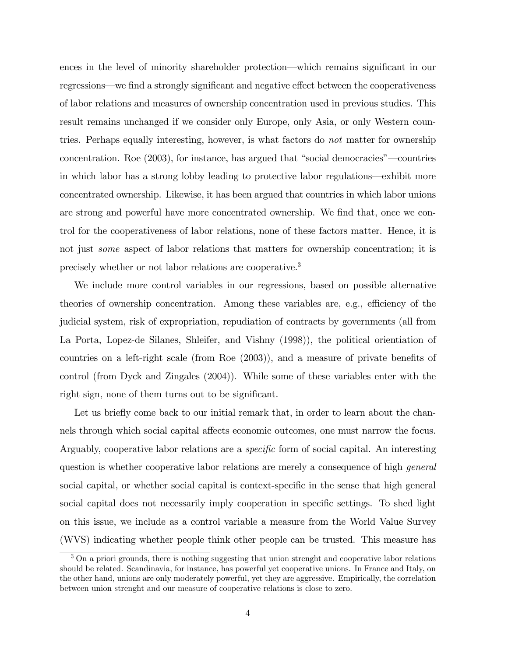ences in the level of minority shareholder protection—which remains significant in our regressions—we find a strongly significant and negative effect between the cooperativeness of labor relations and measures of ownership concentration used in previous studies. This result remains unchanged if we consider only Europe, only Asia, or only Western countries. Perhaps equally interesting, however, is what factors do not matter for ownership concentration. Roe  $(2003)$ , for instance, has argued that "social democracies"—countries in which labor has a strong lobby leading to protective labor regulations—exhibit more concentrated ownership. Likewise, it has been argued that countries in which labor unions are strong and powerful have more concentrated ownership. We find that, once we control for the cooperativeness of labor relations, none of these factors matter. Hence, it is not just *some* aspect of labor relations that matters for ownership concentration; it is precisely whether or not labor relations are cooperative.<sup>3</sup>

We include more control variables in our regressions, based on possible alternative theories of ownership concentration. Among these variables are, e.g., efficiency of the judicial system, risk of expropriation, repudiation of contracts by governments (all from La Porta, Lopez-de Silanes, Shleifer, and Vishny (1998)), the political orientiation of countries on a left-right scale (from Roe  $(2003)$ ), and a measure of private benefits of control (from Dyck and Zingales (2004)). While some of these variables enter with the right sign, none of them turns out to be significant.

Let us briefly come back to our initial remark that, in order to learn about the channels through which social capital affects economic outcomes, one must narrow the focus. Arguably, cooperative labor relations are a *specific* form of social capital. An interesting question is whether cooperative labor relations are merely a consequence of high general social capital, or whether social capital is context-specific in the sense that high general social capital does not necessarily imply cooperation in specific settings. To shed light on this issue, we include as a control variable a measure from the World Value Survey (WVS) indicating whether people think other people can be trusted. This measure has

<sup>&</sup>lt;sup>3</sup> On a priori grounds, there is nothing suggesting that union strenght and cooperative labor relations should be related. Scandinavia, for instance, has powerful yet cooperative unions. In France and Italy, on the other hand, unions are only moderately powerful, yet they are aggressive. Empirically, the correlation between union strenght and our measure of cooperative relations is close to zero.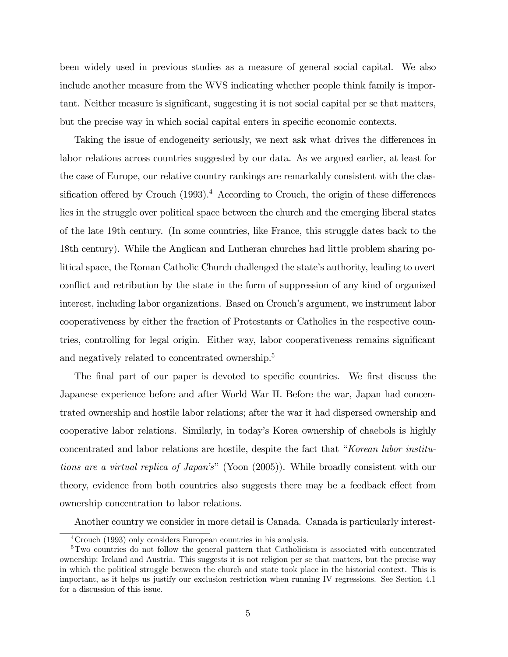been widely used in previous studies as a measure of general social capital. We also include another measure from the WVS indicating whether people think family is important. Neither measure is significant, suggesting it is not social capital per se that matters, but the precise way in which social capital enters in specific economic contexts.

Taking the issue of endogeneity seriously, we next ask what drives the differences in labor relations across countries suggested by our data. As we argued earlier, at least for the case of Europe, our relative country rankings are remarkably consistent with the classification offered by Crouch  $(1993)$ .<sup>4</sup> According to Crouch, the origin of these differences lies in the struggle over political space between the church and the emerging liberal states of the late 19th century. (In some countries, like France, this struggle dates back to the 18th century). While the Anglican and Lutheran churches had little problem sharing political space, the Roman Catholic Church challenged the state's authority, leading to overt conflict and retribution by the state in the form of suppression of any kind of organized interest, including labor organizations. Based on Crouch's argument, we instrument labor cooperativeness by either the fraction of Protestants or Catholics in the respective countries, controlling for legal origin. Either way, labor cooperativeness remains significant and negatively related to concentrated ownership.<sup>5</sup>

The final part of our paper is devoted to specific countries. We first discuss the Japanese experience before and after World War II. Before the war, Japan had concentrated ownership and hostile labor relations; after the war it had dispersed ownership and cooperative labor relations. Similarly, in todayís Korea ownership of chaebols is highly concentrated and labor relations are hostile, despite the fact that "Korean labor institutions are a virtual replica of Japan's" (Yoon (2005)). While broadly consistent with our theory, evidence from both countries also suggests there may be a feedback effect from ownership concentration to labor relations.

Another country we consider in more detail is Canada. Canada is particularly interest-

<sup>4</sup>Crouch (1993) only considers European countries in his analysis.

<sup>&</sup>lt;sup>5</sup>Two countries do not follow the general pattern that Catholicism is associated with concentrated ownership: Ireland and Austria. This suggests it is not religion per se that matters, but the precise way in which the political struggle between the church and state took place in the historial context. This is important, as it helps us justify our exclusion restriction when running IV regressions. See Section 4.1 for a discussion of this issue.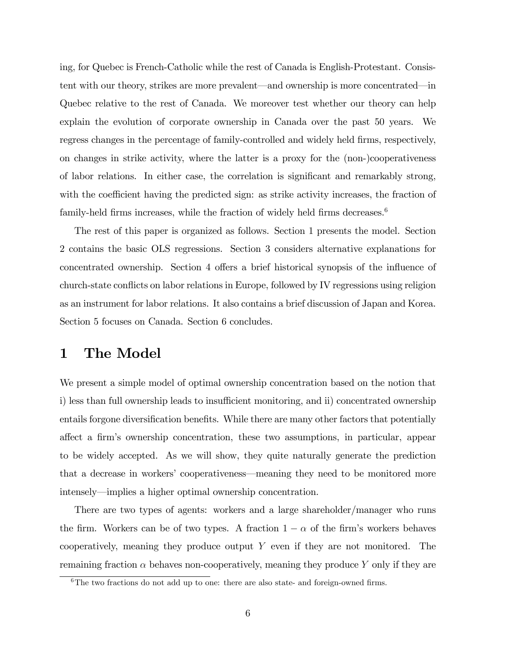ing, for Quebec is French-Catholic while the rest of Canada is English-Protestant. Consistent with our theory, strikes are more prevalent—and ownership is more concentrated—in Quebec relative to the rest of Canada. We moreover test whether our theory can help explain the evolution of corporate ownership in Canada over the past 50 years. We regress changes in the percentage of family-controlled and widely held firms, respectively, on changes in strike activity, where the latter is a proxy for the (non-)cooperativeness of labor relations. In either case, the correlation is significant and remarkably strong, with the coefficient having the predicted sign: as strike activity increases, the fraction of family-held firms increases, while the fraction of widely held firms decreases.<sup>6</sup>

The rest of this paper is organized as follows. Section 1 presents the model. Section 2 contains the basic OLS regressions. Section 3 considers alternative explanations for concentrated ownership. Section 4 offers a brief historical synopsis of the influence of church-state conflicts on labor relations in Europe, followed by IV regressions using religion as an instrument for labor relations. It also contains a brief discussion of Japan and Korea. Section 5 focuses on Canada. Section 6 concludes.

## 1 The Model

We present a simple model of optimal ownership concentration based on the notion that i) less than full ownership leads to insufficient monitoring, and ii) concentrated ownership entails forgone diversification benefits. While there are many other factors that potentially affect a firm's ownership concentration, these two assumptions, in particular, appear to be widely accepted. As we will show, they quite naturally generate the prediction that a decrease in workers' cooperativeness—meaning they need to be monitored more intensely—implies a higher optimal ownership concentration.

There are two types of agents: workers and a large shareholder/manager who runs the firm. Workers can be of two types. A fraction  $1 - \alpha$  of the firm's workers behaves cooperatively, meaning they produce output  $Y$  even if they are not monitored. The remaining fraction  $\alpha$  behaves non-cooperatively, meaning they produce Y only if they are

 $6$ The two fractions do not add up to one: there are also state- and foreign-owned firms.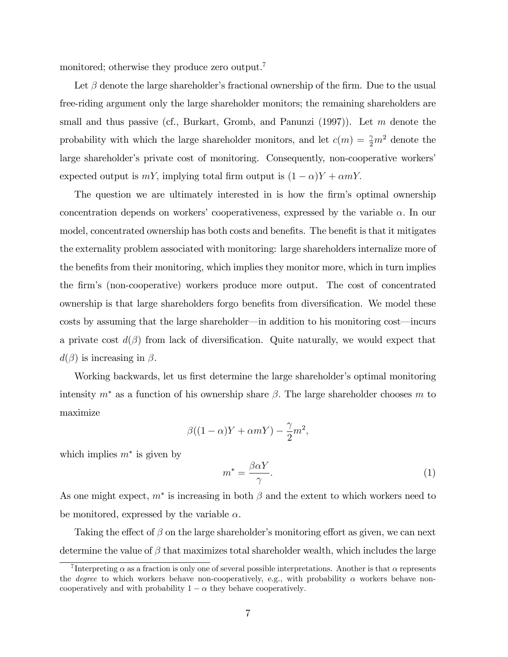monitored; otherwise they produce zero output.<sup>7</sup>

Let  $\beta$  denote the large shareholder's fractional ownership of the firm. Due to the usual free-riding argument only the large shareholder monitors; the remaining shareholders are small and thus passive (cf., Burkart, Gromb, and Panunzi  $(1997)$ ). Let m denote the probability with which the large shareholder monitors, and let  $c(m) = \frac{\gamma}{2}m^2$  denote the large shareholder's private cost of monitoring. Consequently, non-cooperative workers' expected output is  $mY$ , implying total firm output is  $(1 - \alpha)Y + \alpha mY$ .

The question we are ultimately interested in is how the firm's optimal ownership concentration depends on workers' cooperativeness, expressed by the variable  $\alpha$ . In our model, concentrated ownership has both costs and benefits. The benefit is that it mitigates the externality problem associated with monitoring: large shareholders internalize more of the benefits from their monitoring, which implies they monitor more, which in turn implies the Örmís (non-cooperative) workers produce more output. The cost of concentrated ownership is that large shareholders forgo benefits from diversification. We model these costs by assuming that the large shareholder—in addition to his monitoring cost—incurs a private cost  $d(\beta)$  from lack of diversification. Quite naturally, we would expect that  $d(\beta)$  is increasing in  $\beta$ .

Working backwards, let us first determine the large shareholder's optimal monitoring intensity  $m^*$  as a function of his ownership share  $\beta$ . The large shareholder chooses m to maximize

$$
\beta((1-\alpha)Y + \alpha mY) - \frac{\gamma}{2}m^2,
$$

which implies  $m^*$  is given by

$$
m^* = \frac{\beta \alpha Y}{\gamma}.\tag{1}
$$

As one might expect,  $m^*$  is increasing in both  $\beta$  and the extent to which workers need to be monitored, expressed by the variable  $\alpha$ .

Taking the effect of  $\beta$  on the large shareholder's monitoring effort as given, we can next determine the value of  $\beta$  that maximizes total shareholder wealth, which includes the large

<sup>&</sup>lt;sup>7</sup>Interpreting  $\alpha$  as a fraction is only one of several possible interpretations. Another is that  $\alpha$  represents the *degree* to which workers behave non-cooperatively, e.g., with probability  $\alpha$  workers behave noncooperatively and with probability  $1 - \alpha$  they behave cooperatively.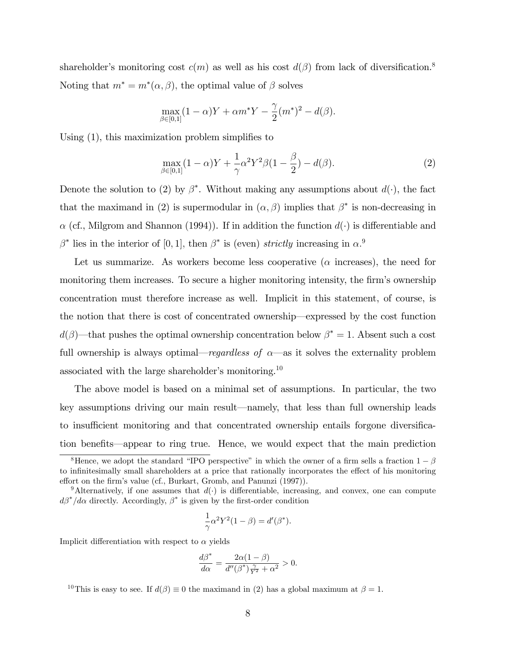shareholder's monitoring cost  $c(m)$  as well as his cost  $d(\beta)$  from lack of diversification.<sup>8</sup> Noting that  $m^* = m^*(\alpha, \beta)$ , the optimal value of  $\beta$  solves

$$
\max_{\beta \in [0,1]} (1 - \alpha)Y + \alpha m^* Y - \frac{\gamma}{2} (m^*)^2 - d(\beta).
$$

Using  $(1)$ , this maximization problem simplifies to

$$
\max_{\beta \in [0,1]} (1 - \alpha)Y + \frac{1}{\gamma} \alpha^2 Y^2 \beta (1 - \frac{\beta}{2}) - d(\beta).
$$
 (2)

Denote the solution to (2) by  $\beta^*$ . Without making any assumptions about  $d(\cdot)$ , the fact that the maximand in (2) is supermodular in  $(\alpha, \beta)$  implies that  $\beta^*$  is non-decreasing in  $\alpha$  (cf., Milgrom and Shannon (1994)). If in addition the function  $d(\cdot)$  is differentiable and  $\beta^*$  lies in the interior of [0, 1], then  $\beta^*$  is (even) strictly increasing in  $\alpha$ .

Let us summarize. As workers become less cooperative ( $\alpha$  increases), the need for monitoring them increases. To secure a higher monitoring intensity, the firm's ownership concentration must therefore increase as well. Implicit in this statement, of course, is the notion that there is cost of concentrated ownership—expressed by the cost function  $d(\beta)$ —that pushes the optimal ownership concentration below  $\beta^* = 1$ . Absent such a cost full ownership is always optimal—regardless of  $\alpha$ —as it solves the externality problem associated with the large shareholder's monitoring.<sup>10</sup>

The above model is based on a minimal set of assumptions. In particular, the two key assumptions driving our main result—namely, that less than full ownership leads to insufficient monitoring and that concentrated ownership entails forgone diversification benefits—appear to ring true. Hence, we would expect that the main prediction

$$
\frac{1}{\gamma}\alpha^2 Y^2(1-\beta) = d'(\beta^*).
$$

Implicit differentiation with respect to  $\alpha$  yields

$$
\frac{d\beta^*}{d\alpha} = \frac{2\alpha(1-\beta)}{d''(\beta^*)\frac{\gamma}{Y^2} + \alpha^2} > 0.
$$

<sup>10</sup>This is easy to see. If  $d(\beta) \equiv 0$  the maximand in (2) has a global maximum at  $\beta = 1$ .

<sup>&</sup>lt;sup>8</sup>Hence, we adopt the standard "IPO perspective" in which the owner of a firm sells a fraction  $1-\beta$ to infinitesimally small shareholders at a price that rationally incorporates the effect of his monitoring effort on the firm's value (cf., Burkart, Gromb, and Panunzi (1997)).

<sup>&</sup>lt;sup>9</sup>Alternatively, if one assumes that  $d(.)$  is differentiable, increasing, and convex, one can compute  $d\beta^*/d\alpha$  directly. Accordingly,  $\beta^*$  is given by the first-order condition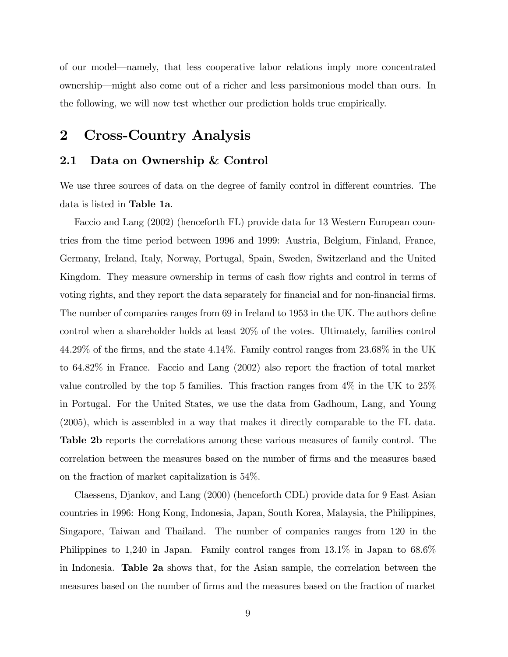of our model—namely, that less cooperative labor relations imply more concentrated ownership—might also come out of a richer and less parsimonious model than ours. In the following, we will now test whether our prediction holds true empirically.

# 2 Cross-Country Analysis

#### 2.1 Data on Ownership & Control

We use three sources of data on the degree of family control in different countries. The data is listed in Table 1a.

Faccio and Lang (2002) (henceforth FL) provide data for 13 Western European countries from the time period between 1996 and 1999: Austria, Belgium, Finland, France, Germany, Ireland, Italy, Norway, Portugal, Spain, Sweden, Switzerland and the United Kingdom. They measure ownership in terms of cash flow rights and control in terms of voting rights, and they report the data separately for financial and for non-financial firms. The number of companies ranges from 69 in Ireland to 1953 in the UK. The authors define control when a shareholder holds at least 20% of the votes. Ultimately, families control  $44.29\%$  of the firms, and the state  $4.14\%$ . Family control ranges from  $23.68\%$  in the UK to 64.82% in France. Faccio and Lang (2002) also report the fraction of total market value controlled by the top 5 families. This fraction ranges from 4% in the UK to 25% in Portugal. For the United States, we use the data from Gadhoum, Lang, and Young (2005), which is assembled in a way that makes it directly comparable to the FL data. Table 2b reports the correlations among these various measures of family control. The correlation between the measures based on the number of Örms and the measures based on the fraction of market capitalization is 54%.

Claessens, Djankov, and Lang (2000) (henceforth CDL) provide data for 9 East Asian countries in 1996: Hong Kong, Indonesia, Japan, South Korea, Malaysia, the Philippines, Singapore, Taiwan and Thailand. The number of companies ranges from 120 in the Philippines to 1,240 in Japan. Family control ranges from 13.1% in Japan to 68.6% in Indonesia. Table 2a shows that, for the Asian sample, the correlation between the measures based on the number of Örms and the measures based on the fraction of market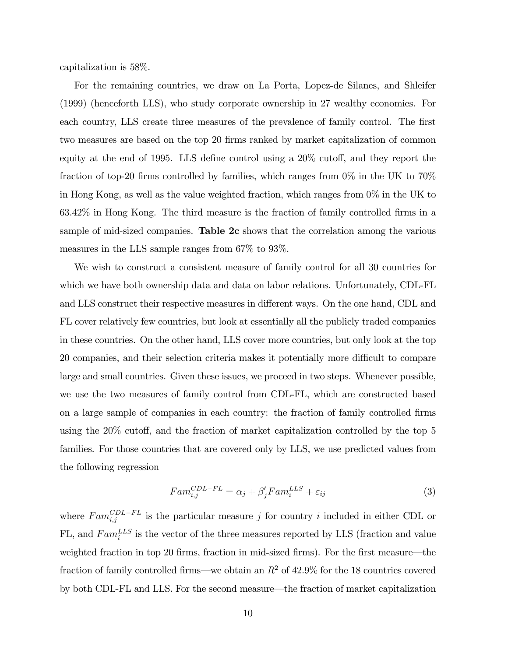capitalization is 58%.

For the remaining countries, we draw on La Porta, Lopez-de Silanes, and Shleifer (1999) (henceforth LLS), who study corporate ownership in 27 wealthy economies. For each country, LLS create three measures of the prevalence of family control. The first two measures are based on the top 20 firms ranked by market capitalization of common equity at the end of 1995. LLS define control using a  $20\%$  cutoff, and they report the fraction of top-20 firms controlled by families, which ranges from  $0\%$  in the UK to 70% in Hong Kong, as well as the value weighted fraction, which ranges from 0% in the UK to  $63.42\%$  in Hong Kong. The third measure is the fraction of family controlled firms in a sample of mid-sized companies. Table 2c shows that the correlation among the various measures in the LLS sample ranges from 67% to 93%.

We wish to construct a consistent measure of family control for all 30 countries for which we have both ownership data and data on labor relations. Unfortunately, CDL-FL and LLS construct their respective measures in different ways. On the one hand, CDL and FL cover relatively few countries, but look at essentially all the publicly traded companies in these countries. On the other hand, LLS cover more countries, but only look at the top 20 companies, and their selection criteria makes it potentially more difficult to compare large and small countries. Given these issues, we proceed in two steps. Whenever possible, we use the two measures of family control from CDL-FL, which are constructed based on a large sample of companies in each country: the fraction of family controlled firms using the  $20\%$  cutoff, and the fraction of market capitalization controlled by the top 5 families. For those countries that are covered only by LLS, we use predicted values from the following regression

$$
Fam_{i,j}^{CDL-FL} = \alpha_j + \beta'_j Fam_i^{LLS} + \varepsilon_{ij}
$$
\n<sup>(3)</sup>

where  $Fam_{i,j}^{CDL-FL}$  is the particular measure j for country i included in either CDL or FL, and  $Fam_i^{LLS}$  is the vector of the three measures reported by LLS (fraction and value weighted fraction in top 20 firms, fraction in mid-sized firms). For the first measure—the fraction of family controlled firms—we obtain an  $R^2$  of 42.9% for the 18 countries covered by both CDL-FL and LLS. For the second measure—the fraction of market capitalization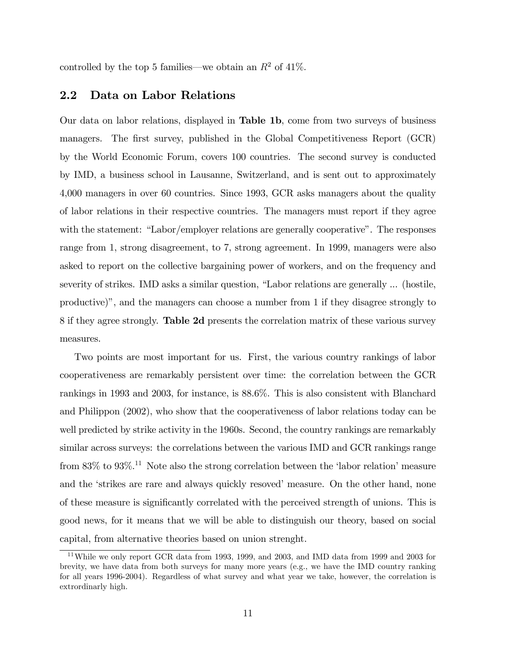controlled by the top 5 families—we obtain an  $R^2$  of 41%.

### 2.2 Data on Labor Relations

Our data on labor relations, displayed in Table 1b, come from two surveys of business managers. The first survey, published in the Global Competitiveness Report (GCR) by the World Economic Forum, covers 100 countries. The second survey is conducted by IMD, a business school in Lausanne, Switzerland, and is sent out to approximately 4,000 managers in over 60 countries. Since 1993, GCR asks managers about the quality of labor relations in their respective countries. The managers must report if they agree with the statement: "Labor/employer relations are generally cooperative". The responses range from 1, strong disagreement, to 7, strong agreement. In 1999, managers were also asked to report on the collective bargaining power of workers, and on the frequency and severity of strikes. IMD asks a similar question, "Labor relations are generally ... (hostile, productive)", and the managers can choose a number from  $1$  if they disagree strongly to 8 if they agree strongly. Table 2d presents the correlation matrix of these various survey measures.

Two points are most important for us. First, the various country rankings of labor cooperativeness are remarkably persistent over time: the correlation between the GCR rankings in 1993 and 2003, for instance, is 88.6%. This is also consistent with Blanchard and Philippon (2002), who show that the cooperativeness of labor relations today can be well predicted by strike activity in the 1960s. Second, the country rankings are remarkably similar across surveys: the correlations between the various IMD and GCR rankings range from  $83\%$  to  $93\%$ <sup>11</sup>. Note also the strong correlation between the 'labor relation' measure and the 'strikes are rare and always quickly resoved' measure. On the other hand, none of these measure is significantly correlated with the perceived strength of unions. This is good news, for it means that we will be able to distinguish our theory, based on social capital, from alternative theories based on union strenght.

<sup>11</sup>While we only report GCR data from 1993, 1999, and 2003, and IMD data from 1999 and 2003 for brevity, we have data from both surveys for many more years (e.g., we have the IMD country ranking for all years 1996-2004). Regardless of what survey and what year we take, however, the correlation is extrordinarly high.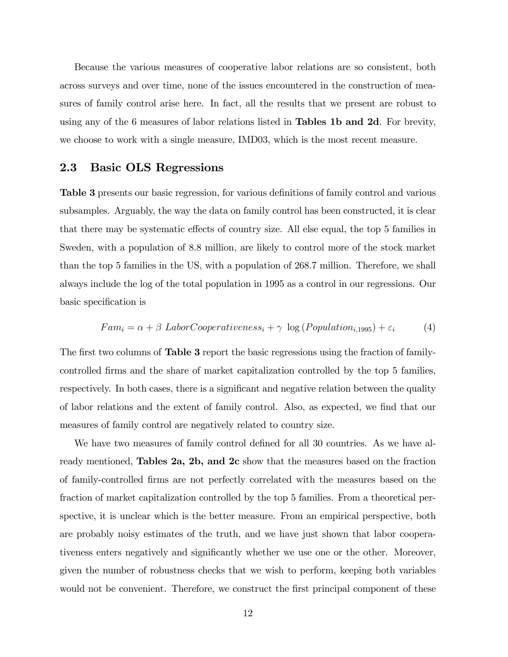Because the various measures of cooperative labor relations are so consistent, both across surveys and over time, none of the issues encountered in the construction of measures of family control arise here. In fact, all the results that we present are robust to using any of the 6 measures of labor relations listed in **Tables 1b and 2d**. For brevity, we choose to work with a single measure, IMD03, which is the most recent measure.

### 2.3 Basic OLS Regressions

Table 3 presents our basic regression, for various definitions of family control and various subsamples. Arguably, the way the data on family control has been constructed, it is clear that there may be systematic effects of country size. All else equal, the top 5 families in Sweden, with a population of 8.8 million, are likely to control more of the stock market than the top 5 families in the US, with a population of 268.7 million. Therefore, we shall always include the log of the total population in 1995 as a control in our regressions. Our basic specification is

$$
Fam_i = \alpha + \beta \ Laboratory{-} LaborCooperativeness_i + \gamma \log (Population_{i,1995}) + \varepsilon_i
$$
 (4)

The first two columns of **Table 3** report the basic regressions using the fraction of familycontrolled Örms and the share of market capitalization controlled by the top 5 families, respectively. In both cases, there is a significant and negative relation between the quality of labor relations and the extent of family control. Also, as expected, we find that our measures of family control are negatively related to country size.

We have two measures of family control defined for all 30 countries. As we have already mentioned, Tables 2a, 2b, and 2c show that the measures based on the fraction of family-controlled Örms are not perfectly correlated with the measures based on the fraction of market capitalization controlled by the top 5 families. From a theoretical perspective, it is unclear which is the better measure. From an empirical perspective, both are probably noisy estimates of the truth, and we have just shown that labor cooperativeness enters negatively and significantly whether we use one or the other. Moreover, given the number of robustness checks that we wish to perform, keeping both variables would not be convenient. Therefore, we construct the first principal component of these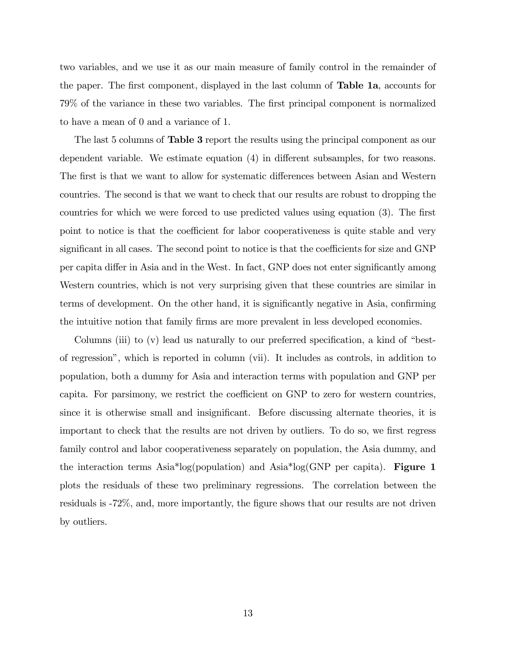two variables, and we use it as our main measure of family control in the remainder of the paper. The first component, displayed in the last column of **Table 1a**, accounts for 79% of the variance in these two variables. The first principal component is normalized to have a mean of 0 and a variance of 1.

The last 5 columns of **Table 3** report the results using the principal component as our dependent variable. We estimate equation  $(4)$  in different subsamples, for two reasons. The first is that we want to allow for systematic differences between Asian and Western countries. The second is that we want to check that our results are robust to dropping the countries for which we were forced to use predicted values using equation (3). The first point to notice is that the coefficient for labor cooperativeness is quite stable and very significant in all cases. The second point to notice is that the coefficients for size and GNP per capita differ in Asia and in the West. In fact, GNP does not enter significantly among Western countries, which is not very surprising given that these countries are similar in terms of development. On the other hand, it is significantly negative in Asia, confirming the intuitive notion that family firms are more prevalent in less developed economies.

Columns (iii) to  $(v)$  lead us naturally to our preferred specification, a kind of "bestof regressionî, which is reported in column (vii). It includes as controls, in addition to population, both a dummy for Asia and interaction terms with population and GNP per capita. For parsimony, we restrict the coefficient on GNP to zero for western countries, since it is otherwise small and insignificant. Before discussing alternate theories, it is important to check that the results are not driven by outliers. To do so, we first regress family control and labor cooperativeness separately on population, the Asia dummy, and the interaction terms  $\text{Asia}^* \text{log}(p)$  and  $\text{Asia}^* \text{log}(GNP)$  per capita). **Figure 1** plots the residuals of these two preliminary regressions. The correlation between the residuals is  $-72\%$ , and, more importantly, the figure shows that our results are not driven by outliers.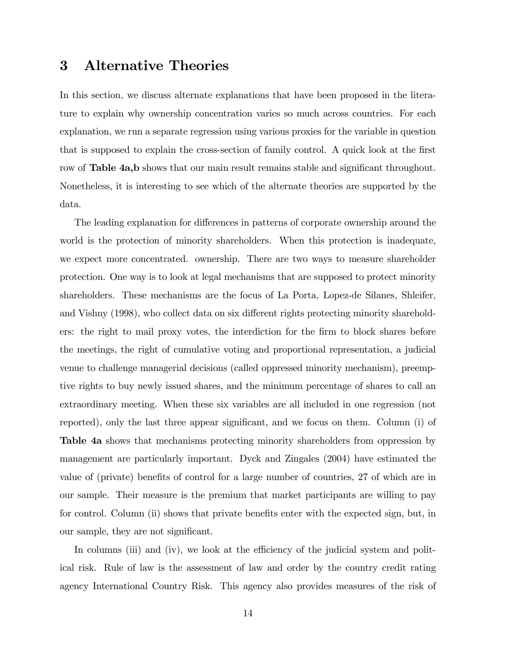### 3 Alternative Theories

In this section, we discuss alternate explanations that have been proposed in the literature to explain why ownership concentration varies so much across countries. For each explanation, we run a separate regression using various proxies for the variable in question that is supposed to explain the cross-section of family control. A quick look at the first row of Table 4a,b shows that our main result remains stable and significant throughout. Nonetheless, it is interesting to see which of the alternate theories are supported by the data.

The leading explanation for differences in patterns of corporate ownership around the world is the protection of minority shareholders. When this protection is inadequate, we expect more concentrated. ownership. There are two ways to measure shareholder protection. One way is to look at legal mechanisms that are supposed to protect minority shareholders. These mechanisms are the focus of La Porta, Lopez-de Silanes, Shleifer, and Vishny (1998), who collect data on six different rights protecting minority shareholders: the right to mail proxy votes, the interdiction for the firm to block shares before the meetings, the right of cumulative voting and proportional representation, a judicial venue to challenge managerial decisions (called oppressed minority mechanism), preemptive rights to buy newly issued shares, and the minimum percentage of shares to call an extraordinary meeting. When these six variables are all included in one regression (not reported), only the last three appear significant, and we focus on them. Column (i) of Table 4a shows that mechanisms protecting minority shareholders from oppression by management are particularly important. Dyck and Zingales (2004) have estimated the value of (private) benefits of control for a large number of countries, 27 of which are in our sample. Their measure is the premium that market participants are willing to pay for control. Column (ii) shows that private benefits enter with the expected sign, but, in our sample, they are not significant.

In columns (iii) and (iv), we look at the efficiency of the judicial system and political risk. Rule of law is the assessment of law and order by the country credit rating agency International Country Risk. This agency also provides measures of the risk of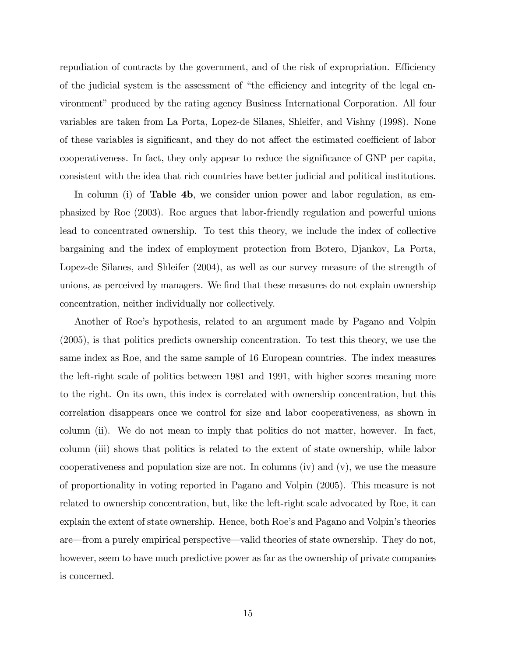repudiation of contracts by the government, and of the risk of expropriation. Efficiency of the judicial system is the assessment of "the efficiency and integrity of the legal environmentî produced by the rating agency Business International Corporation. All four variables are taken from La Porta, Lopez-de Silanes, Shleifer, and Vishny (1998). None of these variables is significant, and they do not affect the estimated coefficient of labor cooperativeness. In fact, they only appear to reduce the significance of GNP per capita, consistent with the idea that rich countries have better judicial and political institutions.

In column (i) of **Table 4b**, we consider union power and labor regulation, as emphasized by Roe (2003). Roe argues that labor-friendly regulation and powerful unions lead to concentrated ownership. To test this theory, we include the index of collective bargaining and the index of employment protection from Botero, Djankov, La Porta, Lopez-de Silanes, and Shleifer (2004), as well as our survey measure of the strength of unions, as perceived by managers. We find that these measures do not explain ownership concentration, neither individually nor collectively.

Another of Roe's hypothesis, related to an argument made by Pagano and Volpin (2005), is that politics predicts ownership concentration. To test this theory, we use the same index as Roe, and the same sample of 16 European countries. The index measures the left-right scale of politics between 1981 and 1991, with higher scores meaning more to the right. On its own, this index is correlated with ownership concentration, but this correlation disappears once we control for size and labor cooperativeness, as shown in column (ii). We do not mean to imply that politics do not matter, however. In fact, column (iii) shows that politics is related to the extent of state ownership, while labor cooperativeness and population size are not. In columns (iv) and  $(v)$ , we use the measure of proportionality in voting reported in Pagano and Volpin (2005). This measure is not related to ownership concentration, but, like the left-right scale advocated by Roe, it can explain the extent of state ownership. Hence, both Roe's and Pagano and Volpin's theories are—from a purely empirical perspective—valid theories of state ownership. They do not, however, seem to have much predictive power as far as the ownership of private companies is concerned.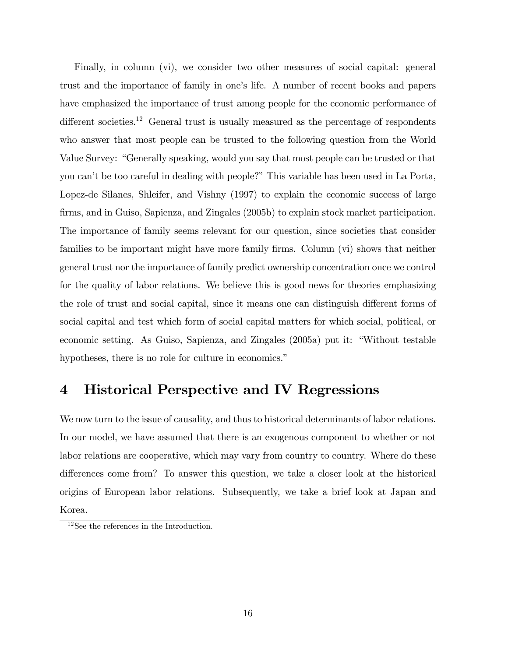Finally, in column (vi), we consider two other measures of social capital: general trust and the importance of family in one's life. A number of recent books and papers have emphasized the importance of trust among people for the economic performance of different societies.<sup>12</sup> General trust is usually measured as the percentage of respondents who answer that most people can be trusted to the following question from the World Value Survey: "Generally speaking, would you say that most people can be trusted or that you can't be too careful in dealing with people?" This variable has been used in La Porta, Lopez-de Silanes, Shleifer, and Vishny (1997) to explain the economic success of large Örms, and in Guiso, Sapienza, and Zingales (2005b) to explain stock market participation. The importance of family seems relevant for our question, since societies that consider families to be important might have more family firms. Column (vi) shows that neither general trust nor the importance of family predict ownership concentration once we control for the quality of labor relations. We believe this is good news for theories emphasizing the role of trust and social capital, since it means one can distinguish different forms of social capital and test which form of social capital matters for which social, political, or economic setting. As Guiso, Sapienza, and Zingales  $(2005a)$  put it: "Without testable hypotheses, there is no role for culture in economics."

## 4 Historical Perspective and IV Regressions

We now turn to the issue of causality, and thus to historical determinants of labor relations. In our model, we have assumed that there is an exogenous component to whether or not labor relations are cooperative, which may vary from country to country. Where do these differences come from? To answer this question, we take a closer look at the historical origins of European labor relations. Subsequently, we take a brief look at Japan and Korea.

<sup>&</sup>lt;sup>12</sup>See the references in the Introduction.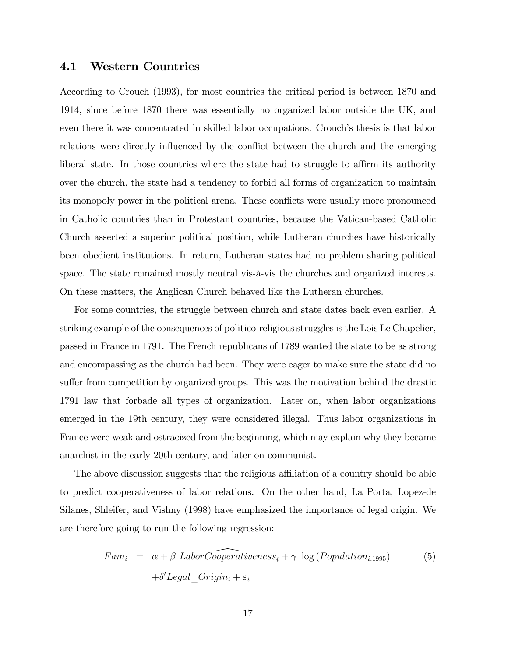#### 4.1 Western Countries

According to Crouch (1993), for most countries the critical period is between 1870 and 1914, since before 1870 there was essentially no organized labor outside the UK, and even there it was concentrated in skilled labor occupations. Crouch's thesis is that labor relations were directly influenced by the conflict between the church and the emerging liberal state. In those countries where the state had to struggle to affirm its authority over the church, the state had a tendency to forbid all forms of organization to maintain its monopoly power in the political arena. These conflicts were usually more pronounced in Catholic countries than in Protestant countries, because the Vatican-based Catholic Church asserted a superior political position, while Lutheran churches have historically been obedient institutions. In return, Lutheran states had no problem sharing political space. The state remained mostly neutral vis- $\alpha$ -vis the churches and organized interests. On these matters, the Anglican Church behaved like the Lutheran churches.

For some countries, the struggle between church and state dates back even earlier. A striking example of the consequences of politico-religious struggles is the Lois Le Chapelier, passed in France in 1791. The French republicans of 1789 wanted the state to be as strong and encompassing as the church had been. They were eager to make sure the state did no suffer from competition by organized groups. This was the motivation behind the drastic 1791 law that forbade all types of organization. Later on, when labor organizations emerged in the 19th century, they were considered illegal. Thus labor organizations in France were weak and ostracized from the beginning, which may explain why they became anarchist in the early 20th century, and later on communist.

The above discussion suggests that the religious affiliation of a country should be able to predict cooperativeness of labor relations. On the other hand, La Porta, Lopez-de Silanes, Shleifer, and Vishny (1998) have emphasized the importance of legal origin. We are therefore going to run the following regression:

$$
Fam_i = \alpha + \beta \; LaborCooperativeness_i + \gamma \; \log (Population_{i,1995}) \tag{5}
$$

$$
+ \delta' Legal\_Origin_i + \varepsilon_i
$$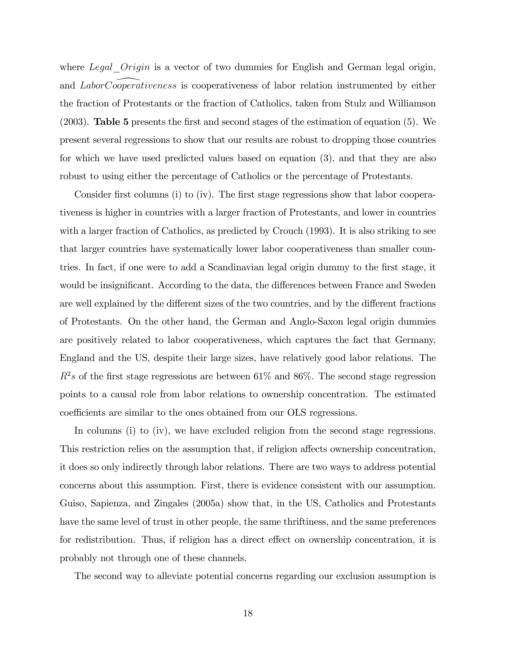where Legal Origin is a vector of two dummies for English and German legal origin, and LaborCooperativeness is cooperativeness of labor relation instrumented by either the fraction of Protestants or the fraction of Catholics, taken from Stulz and Williamson (2003). Table 5 presents the Örst and second stages of the estimation of equation (5). We present several regressions to show that our results are robust to dropping those countries for which we have used predicted values based on equation (3), and that they are also robust to using either the percentage of Catholics or the percentage of Protestants.

Consider first columns (i) to (iv). The first stage regressions show that labor cooperativeness is higher in countries with a larger fraction of Protestants, and lower in countries with a larger fraction of Catholics, as predicted by Crouch (1993). It is also striking to see that larger countries have systematically lower labor cooperativeness than smaller countries. In fact, if one were to add a Scandinavian legal origin dummy to the first stage, it would be insignificant. According to the data, the differences between France and Sweden are well explained by the different sizes of the two countries, and by the different fractions of Protestants. On the other hand, the German and Anglo-Saxon legal origin dummies are positively related to labor cooperativeness, which captures the fact that Germany, England and the US, despite their large sizes, have relatively good labor relations. The  $R^2s$  of the first stage regressions are between 61% and 86%. The second stage regression points to a causal role from labor relations to ownership concentration. The estimated coefficients are similar to the ones obtained from our OLS regressions.

In columns (i) to (iv), we have excluded religion from the second stage regressions. This restriction relies on the assumption that, if religion affects ownership concentration, it does so only indirectly through labor relations. There are two ways to address potential concerns about this assumption. First, there is evidence consistent with our assumption. Guiso, Sapienza, and Zingales (2005a) show that, in the US, Catholics and Protestants have the same level of trust in other people, the same thriftiness, and the same preferences for redistribution. Thus, if religion has a direct effect on ownership concentration, it is probably not through one of these channels.

The second way to alleviate potential concerns regarding our exclusion assumption is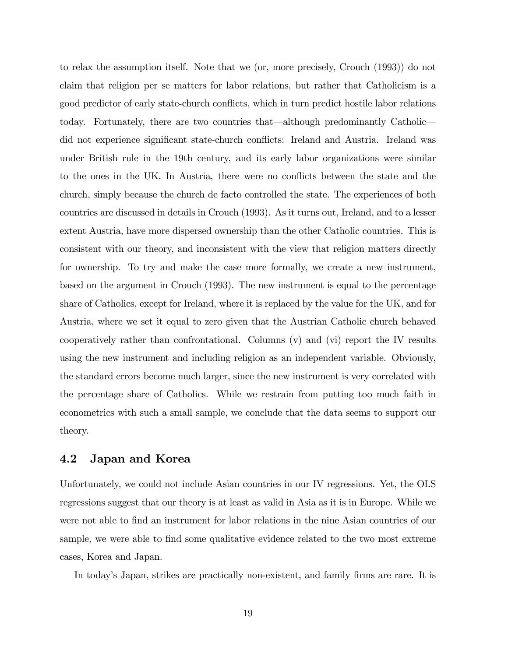to relax the assumption itself. Note that we (or, more precisely, Crouch (1993)) do not claim that religion per se matters for labor relations, but rather that Catholicism is a good predictor of early state-church conáicts, which in turn predict hostile labor relations today. Fortunately, there are two countries that—although predominantly Catholic did not experience significant state-church conflicts: Ireland and Austria. Ireland was under British rule in the 19th century, and its early labor organizations were similar to the ones in the UK. In Austria, there were no conflicts between the state and the church, simply because the church de facto controlled the state. The experiences of both countries are discussed in details in Crouch (1993). As it turns out, Ireland, and to a lesser extent Austria, have more dispersed ownership than the other Catholic countries. This is consistent with our theory, and inconsistent with the view that religion matters directly for ownership. To try and make the case more formally, we create a new instrument, based on the argument in Crouch (1993). The new instrument is equal to the percentage share of Catholics, except for Ireland, where it is replaced by the value for the UK, and for Austria, where we set it equal to zero given that the Austrian Catholic church behaved cooperatively rather than confrontational. Columns (v) and (vi) report the IV results using the new instrument and including religion as an independent variable. Obviously, the standard errors become much larger, since the new instrument is very correlated with the percentage share of Catholics. While we restrain from putting too much faith in econometrics with such a small sample, we conclude that the data seems to support our theory.

#### 4.2 Japan and Korea

Unfortunately, we could not include Asian countries in our IV regressions. Yet, the OLS regressions suggest that our theory is at least as valid in Asia as it is in Europe. While we were not able to find an instrument for labor relations in the nine Asian countries of our sample, we were able to find some qualitative evidence related to the two most extreme cases, Korea and Japan.

In today's Japan, strikes are practically non-existent, and family firms are rare. It is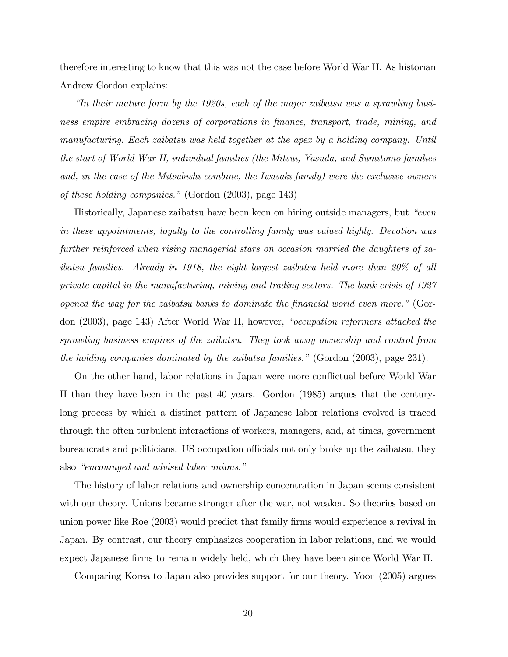therefore interesting to know that this was not the case before World War II. As historian Andrew Gordon explains:

 $\emph{``In their mature form by the 1920s, each of the major zaibatsu was a sprawling busi$ ness empire embracing dozens of corporations in finance, transport, trade, mining, and manufacturing. Each zaibatsu was held together at the apex by a holding company. Until the start of World War II, individual families (the Mitsui, Yasuda, and Sumitomo families and, in the case of the Mitsubishi combine, the Iwasaki family) were the exclusive owners of these holding companies." (Gordon  $(2003)$ , page 143)

Historically, Japanese zaibatsu have been keen on hiring outside managers, but *"even*" in these appointments, loyalty to the controlling family was valued highly. Devotion was further reinforced when rising managerial stars on occasion married the daughters of zaibatsu families. Already in 1918, the eight largest zaibatsu held more than 20% of all private capital in the manufacturing, mining and trading sectors. The bank crisis of 1927 opened the way for the zaibatsu banks to dominate the financial world even more." (Gordon  $(2003)$ , page 143) After World War II, however, "occupation reformers attacked the sprawling business empires of the zaibatsu. They took away ownership and control from the holding companies dominated by the zaibatsu families." (Gordon  $(2003)$ , page 231).

On the other hand, labor relations in Japan were more conflictual before World War II than they have been in the past 40 years. Gordon (1985) argues that the centurylong process by which a distinct pattern of Japanese labor relations evolved is traced through the often turbulent interactions of workers, managers, and, at times, government bureaucrats and politicians. US occupation officials not only broke up the zaibatsu, they also "encouraged and advised labor unions."

The history of labor relations and ownership concentration in Japan seems consistent with our theory. Unions became stronger after the war, not weaker. So theories based on union power like Roe (2003) would predict that family firms would experience a revival in Japan. By contrast, our theory emphasizes cooperation in labor relations, and we would expect Japanese firms to remain widely held, which they have been since World War II.

Comparing Korea to Japan also provides support for our theory. Yoon (2005) argues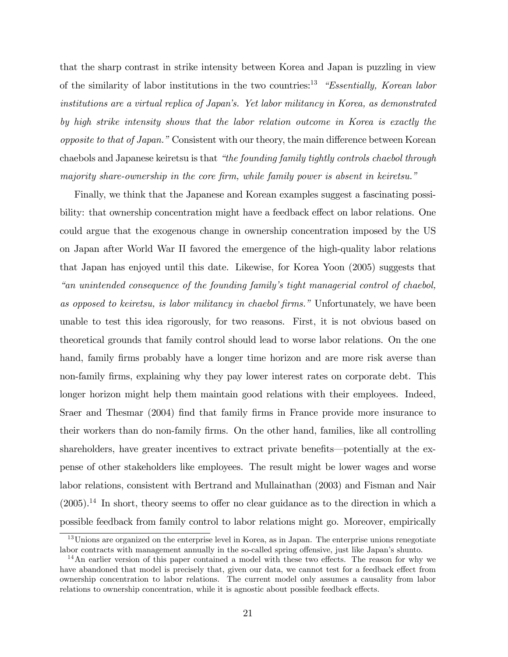that the sharp contrast in strike intensity between Korea and Japan is puzzling in view of the similarity of labor institutions in the two countries:<sup>13</sup> *"Essentially, Korean labor*" institutions are a virtual replica of Japan's. Yet labor militancy in Korea, as demonstrated by high strike intensity shows that the labor relation outcome in Korea is exactly the opposite to that of Japan." Consistent with our theory, the main difference between Korean chaebols and Japanese keiretsu is that "the founding family tightly controls chaebol through majority share-ownership in the core firm, while family power is absent in keiretsu."

Finally, we think that the Japanese and Korean examples suggest a fascinating possibility: that ownership concentration might have a feedback effect on labor relations. One could argue that the exogenous change in ownership concentration imposed by the US on Japan after World War II favored the emergence of the high-quality labor relations that Japan has enjoyed until this date. Likewise, for Korea Yoon (2005) suggests that ìan unintended consequence of the founding familyís tight managerial control of chaebol, as opposed to keiretsu, is labor militancy in chaebol firms." Unfortunately, we have been unable to test this idea rigorously, for two reasons. First, it is not obvious based on theoretical grounds that family control should lead to worse labor relations. On the one hand, family firms probably have a longer time horizon and are more risk averse than non-family firms, explaining why they pay lower interest rates on corporate debt. This longer horizon might help them maintain good relations with their employees. Indeed, Sraer and Thesmar (2004) find that family firms in France provide more insurance to their workers than do non-family firms. On the other hand, families, like all controlling shareholders, have greater incentives to extract private benefits—potentially at the expense of other stakeholders like employees. The result might be lower wages and worse labor relations, consistent with Bertrand and Mullainathan (2003) and Fisman and Nair  $(2005)$ <sup>14</sup>. In short, theory seems to offer no clear guidance as to the direction in which a possible feedback from family control to labor relations might go. Moreover, empirically

<sup>&</sup>lt;sup>13</sup>Unions are organized on the enterprise level in Korea, as in Japan. The enterprise unions renegotiate labor contracts with management annually in the so-called spring offensive, just like Japan's shunto.

 $14$ An earlier version of this paper contained a model with these two effects. The reason for why we have abandoned that model is precisely that, given our data, we cannot test for a feedback effect from ownership concentration to labor relations. The current model only assumes a causality from labor relations to ownership concentration, while it is agnostic about possible feedback effects.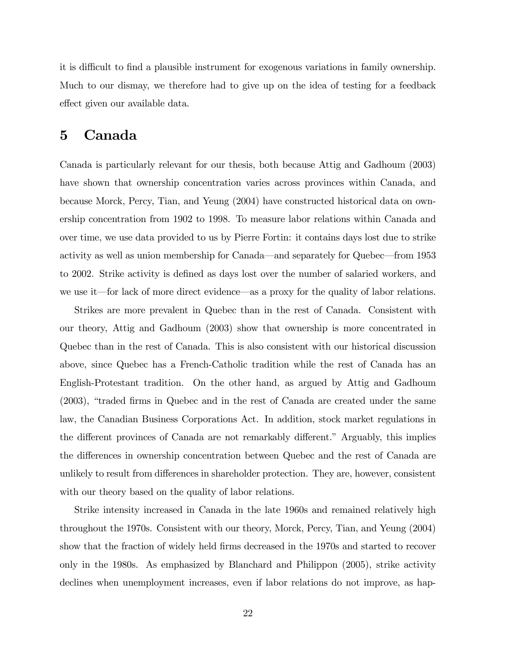it is difficult to find a plausible instrument for exogenous variations in family ownership. Much to our dismay, we therefore had to give up on the idea of testing for a feedback effect given our available data.

### 5 Canada

Canada is particularly relevant for our thesis, both because Attig and Gadhoum (2003) have shown that ownership concentration varies across provinces within Canada, and because Morck, Percy, Tian, and Yeung (2004) have constructed historical data on ownership concentration from 1902 to 1998. To measure labor relations within Canada and over time, we use data provided to us by Pierre Fortin: it contains days lost due to strike activity as well as union membership for Canada—and separately for Quebec—from 1953 to 2002. Strike activity is defined as days lost over the number of salaried workers, and we use it—for lack of more direct evidence—as a proxy for the quality of labor relations.

Strikes are more prevalent in Quebec than in the rest of Canada. Consistent with our theory, Attig and Gadhoum (2003) show that ownership is more concentrated in Quebec than in the rest of Canada. This is also consistent with our historical discussion above, since Quebec has a French-Catholic tradition while the rest of Canada has an English-Protestant tradition. On the other hand, as argued by Attig and Gadhoum  $(2003)$ , "traded firms in Quebec and in the rest of Canada are created under the same law, the Canadian Business Corporations Act. In addition, stock market regulations in the different provinces of Canada are not remarkably different." Arguably, this implies the differences in ownership concentration between Quebec and the rest of Canada are unlikely to result from differences in shareholder protection. They are, however, consistent with our theory based on the quality of labor relations.

Strike intensity increased in Canada in the late 1960s and remained relatively high throughout the 1970s. Consistent with our theory, Morck, Percy, Tian, and Yeung (2004) show that the fraction of widely held firms decreased in the 1970s and started to recover only in the 1980s. As emphasized by Blanchard and Philippon (2005), strike activity declines when unemployment increases, even if labor relations do not improve, as hap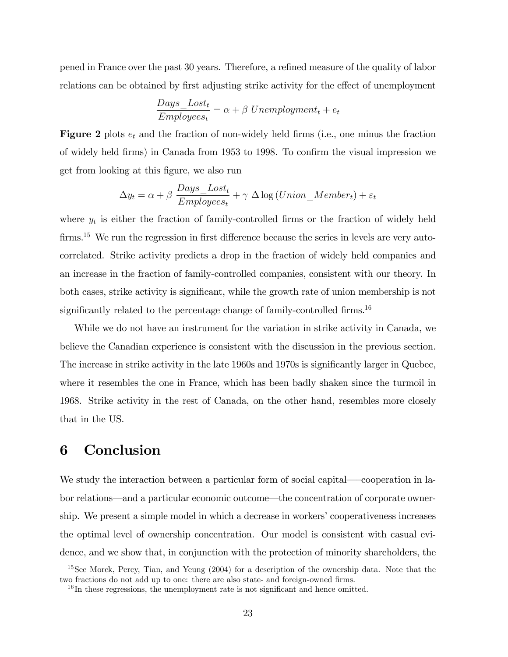pened in France over the past 30 years. Therefore, a refined measure of the quality of labor relations can be obtained by first adjusting strike activity for the effect of unemployment

$$
\frac{Days\_lost_t}{Employes_t} = \alpha + \beta \ Unemptyment_t + e_t
$$

**Figure 2** plots  $e_t$  and the fraction of non-widely held firms (i.e., one minus the fraction of widely held firms) in Canada from 1953 to 1998. To confirm the visual impression we get from looking at this figure, we also run

$$
\Delta y_t = \alpha + \beta \frac{Days\_Loss_t}{Employes_t} + \gamma \Delta \log (Union\_Member_t) + \varepsilon_t
$$

where  $y_t$  is either the fraction of family-controlled firms or the fraction of widely held firms.<sup>15</sup> We run the regression in first difference because the series in levels are very autocorrelated. Strike activity predicts a drop in the fraction of widely held companies and an increase in the fraction of family-controlled companies, consistent with our theory. In both cases, strike activity is significant, while the growth rate of union membership is not significantly related to the percentage change of family-controlled firms.<sup>16</sup>

While we do not have an instrument for the variation in strike activity in Canada, we believe the Canadian experience is consistent with the discussion in the previous section. The increase in strike activity in the late 1960s and 1970s is significantly larger in Quebec, where it resembles the one in France, which has been badly shaken since the turmoil in 1968. Strike activity in the rest of Canada, on the other hand, resembles more closely that in the US.

### 6 Conclusion

We study the interaction between a particular form of social capital—cooperation in labor relations—and a particular economic outcome—the concentration of corporate ownership. We present a simple model in which a decrease in workers' cooperativeness increases the optimal level of ownership concentration. Our model is consistent with casual evidence, and we show that, in conjunction with the protection of minority shareholders, the

<sup>&</sup>lt;sup>15</sup>See Morck, Percy, Tian, and Yeung (2004) for a description of the ownership data. Note that the two fractions do not add up to one: there are also state- and foreign-owned firms.

 $16$  In these regressions, the unemployment rate is not significant and hence omitted.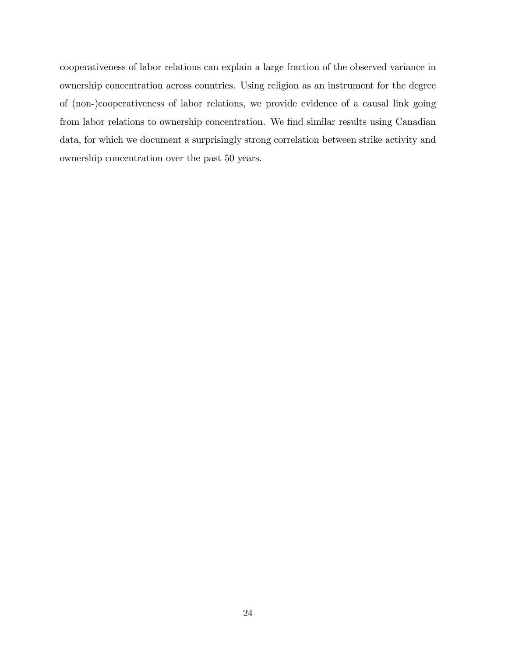cooperativeness of labor relations can explain a large fraction of the observed variance in ownership concentration across countries. Using religion as an instrument for the degree of (non-)cooperativeness of labor relations, we provide evidence of a causal link going from labor relations to ownership concentration. We find similar results using Canadian data, for which we document a surprisingly strong correlation between strike activity and ownership concentration over the past 50 years.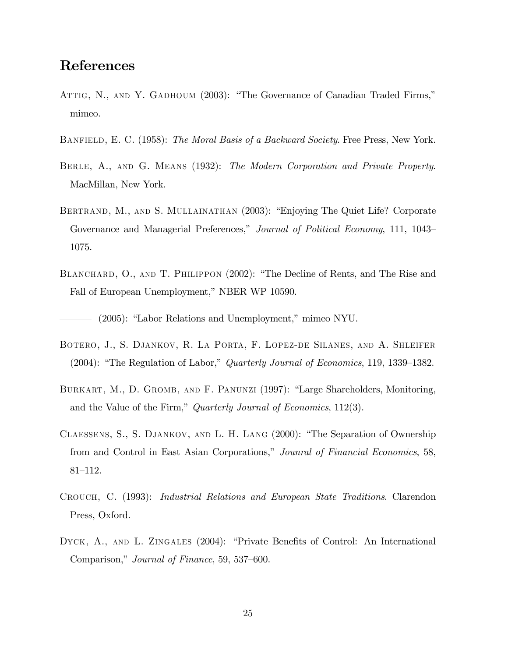## References

- ATTIG, N., AND Y. GADHOUM (2003): "The Governance of Canadian Traded Firms," mimeo.
- BANFIELD, E. C. (1958): The Moral Basis of a Backward Society. Free Press, New York.
- BERLE, A., AND G. MEANS (1932): The Modern Corporation and Private Property. MacMillan, New York.
- BERTRAND, M., AND S. MULLAINATHAN (2003): "Enjoying The Quiet Life? Corporate Governance and Managerial Preferences," Journal of Political Economy, 111, 1043– 1075.
- BLANCHARD, O., AND T. PHILIPPON (2002): "The Decline of Rents, and The Rise and Fall of European Unemployment," NBER WP 10590.

 $-$  (2005): "Labor Relations and Unemployment," mimeo NYU.

- Botero, J., S. Djankov, R. La Porta, F. Lopez-de Silanes, and A. Shleifer  $(2004)$ : "The Regulation of Labor," Quarterly Journal of Economics, 119, 1339–1382.
- BURKART, M., D. GROMB, AND F. PANUNZI (1997): "Large Shareholders, Monitoring, and the Value of the Firm," Quarterly Journal of Economics,  $112(3)$ .
- CLAESSENS, S., S. DJANKOV, AND L. H. LANG (2000): "The Separation of Ownership from and Control in East Asian Corporations," Jounral of Financial Economics, 58,  $81 - 112.$
- Crouch, C. (1993): Industrial Relations and European State Traditions. Clarendon Press, Oxford.
- DYCK, A., AND L. ZINGALES (2004): "Private Benefits of Control: An International Comparison," Journal of Finance, 59, 537–600.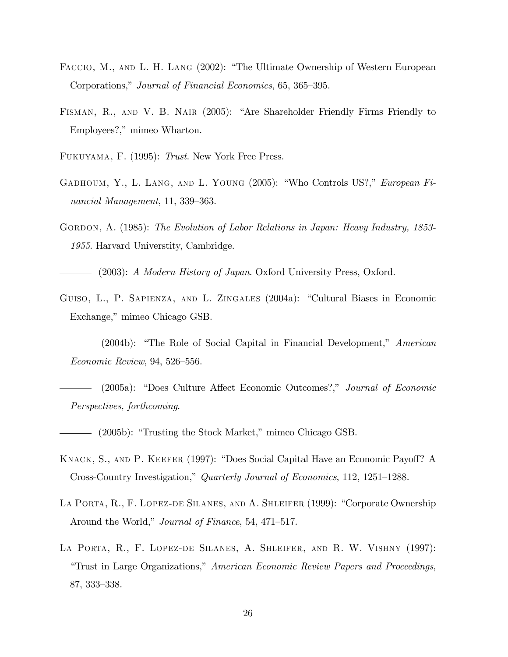- FACCIO, M., AND L. H. LANG (2002): "The Ultimate Ownership of Western European Corporations," Journal of Financial Economics, 65, 365–395.
- FISMAN, R., AND V. B. NAIR (2005): "Are Shareholder Friendly Firms Friendly to Employees?," mimeo Wharton.
- Fukuyama, F. (1995): Trust. New York Free Press.
- GADHOUM, Y., L. LANG, AND L. YOUNG (2005): "Who Controls US?," European Financial Management, 11, 339–363.
- GORDON, A. (1985): The Evolution of Labor Relations in Japan: Heavy Industry, 1853-1955. Harvard Universtity, Cambridge.
	- (2003): A Modern History of Japan. Oxford University Press, Oxford.
- GUISO, L., P. SAPIENZA, AND L. ZINGALES (2004a): "Cultural Biases in Economic Exchange," mimeo Chicago GSB.
- $(2004b)$ : "The Role of Social Capital in Financial Development," American  $Economic$  Review, 94, 526–556.
- (2005a): "Does Culture Affect Economic Outcomes?," Journal of Economic Perspectives, forthcoming.
- (2005b): "Trusting the Stock Market," mimeo Chicago GSB.
- KNACK, S., AND P. KEEFER (1997): "Does Social Capital Have an Economic Payoff? A Cross-Country Investigation," Quarterly Journal of Economics, 112, 1251–1288.
- LA PORTA, R., F. LOPEZ-DE SILANES, AND A. SHLEIFER (1999): "Corporate Ownership Around the World," *Journal of Finance*, 54, 471–517.
- La Porta, R., F. Lopez-de Silanes, A. Shleifer, and R. W. Vishny (1997): *i*Trust in Large Organizations," American Economic Review Papers and Proceedings, 87, 333–338.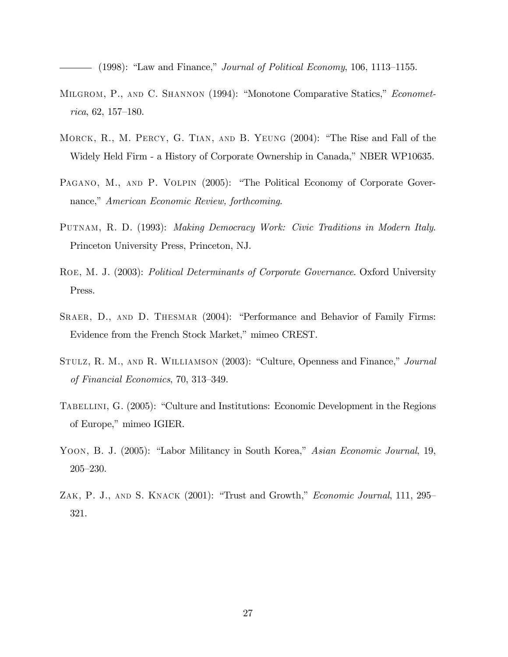(1998): "Law and Finance," *Journal of Political Economy*, 106, 1113–1155.

- MILGROM, P., AND C. SHANNON (1994): "Monotone Comparative Statics," *Economet* $rica, 62, 157–180.$
- MORCK, R., M. PERCY, G. TIAN, AND B. YEUNG  $(2004)$ : "The Rise and Fall of the Widely Held Firm - a History of Corporate Ownership in Canada," NBER WP10635.
- PAGANO, M., AND P. VOLPIN (2005): "The Political Economy of Corporate Governance," American Economic Review, forthcoming.
- PUTNAM, R. D. (1993): Making Democracy Work: Civic Traditions in Modern Italy. Princeton University Press, Princeton, NJ.
- ROE, M. J. (2003): Political Determinants of Corporate Governance. Oxford University Press.
- SRAER, D., AND D. THESMAR (2004): "Performance and Behavior of Family Firms: Evidence from the French Stock Market," mimeo CREST.
- STULZ, R. M., AND R. WILLIAMSON (2003): "Culture, Openness and Finance," Journal of Financial Economics,  $70, 313-349$ .
- TABELLINI, G. (2005): "Culture and Institutions: Economic Development in the Regions of Europe," mimeo IGIER.
- YOON, B. J. (2005): "Labor Militancy in South Korea," Asian Economic Journal, 19,  $205 - 230.$
- ZAK, P. J., AND S. KNACK  $(2001)$ : "Trust and Growth," *Economic Journal*, 111, 295– 321.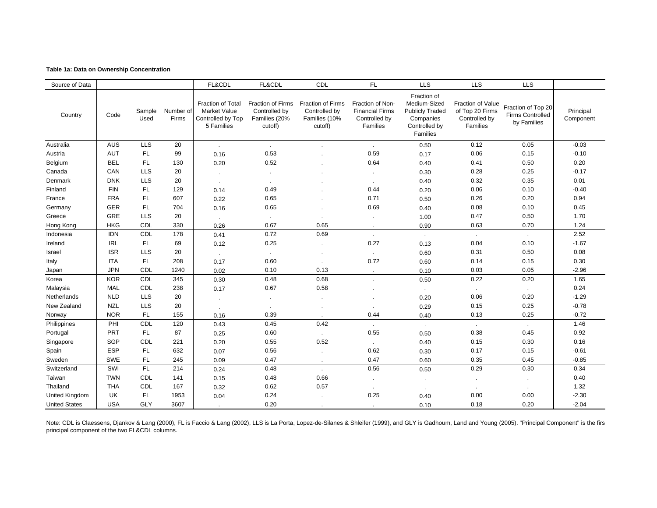#### **Table 1a: Data on Ownership Concentration**

| Source of Data       |            |                |                    | FL&CDL                                                                             | FL&CDL                                                                | CDL                                                                   | <b>FL</b>                                                               | <b>LLS</b>                                                                                      | <b>LLS</b>                                                        | <b>LLS</b>                                            |                        |
|----------------------|------------|----------------|--------------------|------------------------------------------------------------------------------------|-----------------------------------------------------------------------|-----------------------------------------------------------------------|-------------------------------------------------------------------------|-------------------------------------------------------------------------------------------------|-------------------------------------------------------------------|-------------------------------------------------------|------------------------|
| Country              | Code       | Sample<br>Used | Number of<br>Firms | <b>Fraction of Total</b><br><b>Market Value</b><br>Controlled by Top<br>5 Families | <b>Fraction of Firms</b><br>Controlled by<br>Families (20%<br>cutoff) | <b>Fraction of Firms</b><br>Controlled by<br>Families (10%<br>cutoff) | Fraction of Non-<br><b>Financial Firms</b><br>Controlled by<br>Families | Fraction of<br>Medium-Sized<br><b>Publicly Traded</b><br>Companies<br>Controlled by<br>Families | Fraction of Value<br>of Top 20 Firms<br>Controlled by<br>Families | Fraction of Top 20<br>Firms Controlled<br>by Families | Principal<br>Component |
| Australia            | <b>AUS</b> | <b>LLS</b>     | 20                 | $\mathbf{r}$                                                                       | ä,                                                                    |                                                                       |                                                                         | 0.50                                                                                            | 0.12                                                              | 0.05                                                  | $-0.03$                |
| Austria              | <b>AUT</b> | FL.            | 99                 | 0.16                                                                               | 0.53                                                                  |                                                                       | 0.59                                                                    | 0.17                                                                                            | 0.06                                                              | 0.15                                                  | $-0.10$                |
| Belgium              | <b>BEL</b> | FL.            | 130                | 0.20                                                                               | 0.52                                                                  |                                                                       | 0.64                                                                    | 0.40                                                                                            | 0.41                                                              | 0.50                                                  | 0.20                   |
| Canada               | CAN        | <b>LLS</b>     | 20                 |                                                                                    | $\epsilon$                                                            |                                                                       |                                                                         | 0.30                                                                                            | 0.28                                                              | 0.25                                                  | $-0.17$                |
| Denmark              | <b>DNK</b> | <b>LLS</b>     | 20                 |                                                                                    |                                                                       |                                                                       |                                                                         | 0.40                                                                                            | 0.32                                                              | 0.35                                                  | 0.01                   |
| Finland              | <b>FIN</b> | FL             | 129                | 0.14                                                                               | 0.49                                                                  |                                                                       | 0.44                                                                    | 0.20                                                                                            | 0.06                                                              | 0.10                                                  | $-0.40$                |
| France               | <b>FRA</b> | FL.            | 607                | 0.22                                                                               | 0.65                                                                  |                                                                       | 0.71                                                                    | 0.50                                                                                            | 0.26                                                              | 0.20                                                  | 0.94                   |
| Germany              | <b>GER</b> | FL             | 704                | 0.16                                                                               | 0.65                                                                  |                                                                       | 0.69                                                                    | 0.40                                                                                            | 0.08                                                              | 0.10                                                  | 0.45                   |
| Greece               | GRE        | <b>LLS</b>     | 20                 |                                                                                    |                                                                       |                                                                       |                                                                         | 1.00                                                                                            | 0.47                                                              | 0.50                                                  | 1.70                   |
| Hong Kong            | <b>HKG</b> | CDL            | 330                | 0.26                                                                               | 0.67                                                                  | 0.65                                                                  |                                                                         | 0.90                                                                                            | 0.63                                                              | 0.70                                                  | 1.24                   |
| Indonesia            | <b>IDN</b> | CDL            | 178                | 0.41                                                                               | 0.72                                                                  | 0.69                                                                  | $\sim$                                                                  | $\sim$                                                                                          | $\sim$                                                            | $\sim$                                                | 2.52                   |
| Ireland              | <b>IRL</b> | FL.            | 69                 | 0.12                                                                               | 0.25                                                                  |                                                                       | 0.27                                                                    | 0.13                                                                                            | 0.04                                                              | 0.10                                                  | $-1.67$                |
| Israel               | <b>ISR</b> | <b>LLS</b>     | 20                 | $\mathcal{L}^{\mathcal{L}}$                                                        | $\sim$                                                                |                                                                       |                                                                         | 0.60                                                                                            | 0.31                                                              | 0.50                                                  | 0.08                   |
| Italy                | <b>ITA</b> | FL.            | 208                | 0.17                                                                               | 0.60                                                                  |                                                                       | 0.72                                                                    | 0.60                                                                                            | 0.14                                                              | 0.15                                                  | 0.30                   |
| Japan                | <b>JPN</b> | CDL            | 1240               | 0.02                                                                               | 0.10                                                                  | 0.13                                                                  | $\sim$                                                                  | 0.10                                                                                            | 0.03                                                              | 0.05                                                  | $-2.96$                |
| Korea                | <b>KOR</b> | CDL            | 345                | 0.30                                                                               | 0.48                                                                  | 0.68                                                                  |                                                                         | 0.50                                                                                            | 0.22                                                              | 0.20                                                  | 1.65                   |
| Malaysia             | <b>MAL</b> | CDL            | 238                | 0.17                                                                               | 0.67                                                                  | 0.58                                                                  |                                                                         | $\sim$                                                                                          | $\sim$                                                            | $\sim$                                                | 0.24                   |
| Netherlands          | <b>NLD</b> | <b>LLS</b>     | 20                 |                                                                                    | $\cdot$                                                               |                                                                       |                                                                         | 0.20                                                                                            | 0.06                                                              | 0.20                                                  | $-1.29$                |
| New Zealand          | <b>NZL</b> | <b>LLS</b>     | 20                 |                                                                                    | $\epsilon$                                                            |                                                                       |                                                                         | 0.29                                                                                            | 0.15                                                              | 0.25                                                  | $-0.78$                |
| Norway               | <b>NOR</b> | <b>FL</b>      | 155                | 0.16                                                                               | 0.39                                                                  |                                                                       | 0.44                                                                    | 0.40                                                                                            | 0.13                                                              | 0.25                                                  | $-0.72$                |
| Philippines          | PHI        | CDL            | 120                | 0.43                                                                               | 0.45                                                                  | 0.42                                                                  |                                                                         | $\sim$                                                                                          | $\sim$                                                            | $\mathcal{L}$                                         | 1.46                   |
| Portugal             | <b>PRT</b> | FL.            | 87                 | 0.25                                                                               | 0.60                                                                  |                                                                       | 0.55                                                                    | 0.50                                                                                            | 0.38                                                              | 0.45                                                  | 0.92                   |
| Singapore            | SGP        | <b>CDL</b>     | 221                | 0.20                                                                               | 0.55                                                                  | 0.52                                                                  |                                                                         | 0.40                                                                                            | 0.15                                                              | 0.30                                                  | 0.16                   |
| Spain                | <b>ESP</b> | <b>FL</b>      | 632                | 0.07                                                                               | 0.56                                                                  |                                                                       | 0.62                                                                    | 0.30                                                                                            | 0.17                                                              | 0.15                                                  | $-0.61$                |
| Sweden               | <b>SWE</b> | FL.            | 245                | 0.09                                                                               | 0.47                                                                  | $\cdot$                                                               | 0.47                                                                    | 0.60                                                                                            | 0.35                                                              | 0.45                                                  | $-0.85$                |
| Switzerland          | SWI        | FL             | 214                | 0.24                                                                               | 0.48                                                                  | $\mathbf{r}$                                                          | 0.56                                                                    | 0.50                                                                                            | 0.29                                                              | 0.30                                                  | 0.34                   |
| Taiwan               | <b>TWN</b> | CDL            | 141                | 0.15                                                                               | 0.48                                                                  | 0.66                                                                  |                                                                         | $\cdot$                                                                                         | $\bullet$                                                         | $\sim$                                                | 0.40                   |
| Thailand             | <b>THA</b> | CDL            | 167                | 0.32                                                                               | 0.62                                                                  | 0.57                                                                  |                                                                         |                                                                                                 |                                                                   |                                                       | 1.32                   |
| United Kingdom       | UK         | FL.            | 1953               | 0.04                                                                               | 0.24                                                                  |                                                                       | 0.25                                                                    | 0.40                                                                                            | 0.00                                                              | 0.00                                                  | $-2.30$                |
| <b>United States</b> | <b>USA</b> | GLY            | 3607               | $\sim$                                                                             | 0.20                                                                  |                                                                       |                                                                         | 0.10                                                                                            | 0.18                                                              | 0.20                                                  | $-2.04$                |

Note: CDL is Claessens, Djankov & Lang (2000), FL is Faccio & Lang (2002), LLS is La Porta, Lopez-de-Silanes & Shleifer (1999), and GLY is Gadhoum, Land and Young (2005). "Principal Component" is the firs principal component of the two FL&CDL columns.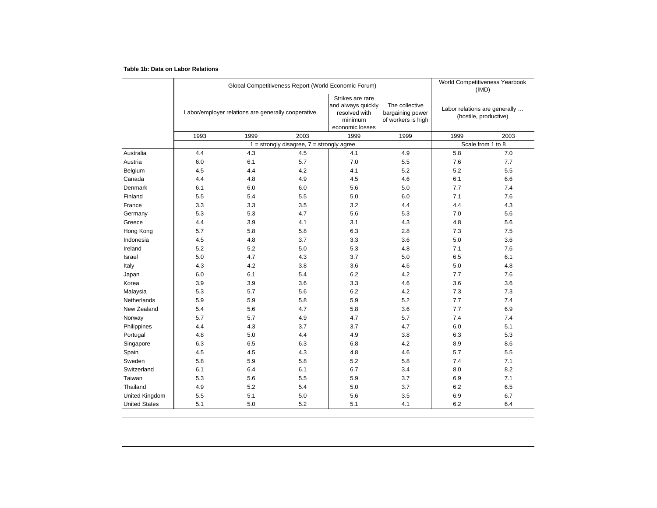#### **Table 1b: Data on Labor Relations**

|                      |      | Global Competitiveness Report (World Economic Forum) |                                               | World Competitiveness Yearbook<br>(IMD)                                               |                                                          |                                                        |                   |
|----------------------|------|------------------------------------------------------|-----------------------------------------------|---------------------------------------------------------------------------------------|----------------------------------------------------------|--------------------------------------------------------|-------------------|
|                      |      | Labor/employer relations are generally cooperative.  |                                               | Strikes are rare<br>and always quickly<br>resolved with<br>minimum<br>economic losses | The collective<br>bargaining power<br>of workers is high | Labor relations are generally<br>(hostile, productive) |                   |
|                      | 1993 | 1999                                                 | 2003                                          | 1999                                                                                  | 1999                                                     | 1999                                                   | 2003              |
|                      |      |                                                      | $1 =$ strongly disagree, $7 =$ strongly agree |                                                                                       |                                                          |                                                        | Scale from 1 to 8 |
| Australia            | 4.4  | 4.3                                                  | 4.5                                           | 4.1                                                                                   | 4.9                                                      | 5.8                                                    | 7.0               |
| Austria              | 6.0  | 6.1                                                  | 5.7                                           | 7.0                                                                                   | 5.5                                                      | 7.6                                                    | 7.7               |
| Belgium              | 4.5  | 4.4                                                  | 4.2                                           | 4.1                                                                                   | 5.2                                                      | 5.2                                                    | 5.5               |
| Canada               | 4.4  | 4.8                                                  | 4.9                                           | 4.5                                                                                   | 4.6                                                      | 6.1                                                    | 6.6               |
| Denmark              | 6.1  | 6.0                                                  | 6.0                                           | 5.6                                                                                   | 5.0                                                      | 7.7                                                    | 7.4               |
| Finland              | 5.5  | 5.4                                                  | 5.5                                           | 5.0                                                                                   | 6.0                                                      | 7.1                                                    | 7.6               |
| France               | 3.3  | 3.3                                                  | 3.5                                           | 3.2                                                                                   | 4.4                                                      | 4.4                                                    | 4.3               |
| Germany              | 5.3  | 5.3                                                  | 4.7                                           | 5.6                                                                                   | 5.3                                                      | 7.0                                                    | 5.6               |
| Greece               | 4.4  | 3.9                                                  | 4.1                                           | 3.1                                                                                   | 4.3                                                      | 4.8                                                    | 5.6               |
| Hong Kong            | 5.7  | 5.8                                                  | 5.8                                           | 6.3                                                                                   | 2.8                                                      | 7.3                                                    | 7.5               |
| Indonesia            | 4.5  | 4.8                                                  | 3.7                                           | 3.3                                                                                   | 3.6                                                      | 5.0                                                    | 3.6               |
| Ireland              | 5.2  | 5.2                                                  | 5.0                                           | 5.3                                                                                   | 4.8                                                      | 7.1                                                    | 7.6               |
| Israel               | 5.0  | 4.7                                                  | 4.3                                           | 3.7                                                                                   | 5.0                                                      | 6.5                                                    | 6.1               |
| Italy                | 4.3  | 4.2                                                  | 3.8                                           | 3.6                                                                                   | 4.6                                                      | 5.0                                                    | 4.8               |
| Japan                | 6.0  | 6.1                                                  | 5.4                                           | 6.2                                                                                   | 4.2                                                      | 7.7                                                    | 7.6               |
| Korea                | 3.9  | 3.9                                                  | 3.6                                           | 3.3                                                                                   | 4.6                                                      | 3.6                                                    | 3.6               |
| Malaysia             | 5.3  | 5.7                                                  | 5.6                                           | 6.2                                                                                   | 4.2                                                      | 7.3                                                    | 7.3               |
| Netherlands          | 5.9  | 5.9                                                  | 5.8                                           | 5.9                                                                                   | 5.2                                                      | 7.7                                                    | 7.4               |
| New Zealand          | 5.4  | 5.6                                                  | 4.7                                           | 5.8                                                                                   | 3.6                                                      | 7.7                                                    | 6.9               |
| Norway               | 5.7  | 5.7                                                  | 4.9                                           | 4.7                                                                                   | 5.7                                                      | 7.4                                                    | 7.4               |
| Philippines          | 4.4  | 4.3                                                  | 3.7                                           | 3.7                                                                                   | 4.7                                                      | 6.0                                                    | 5.1               |
| Portugal             | 4.8  | 5.0                                                  | 4.4                                           | 4.9                                                                                   | 3.8                                                      | 6.3                                                    | 5.3               |
| Singapore            | 6.3  | 6.5                                                  | 6.3                                           | 6.8                                                                                   | 4.2                                                      | 8.9                                                    | 8.6               |
| Spain                | 4.5  | 4.5                                                  | 4.3                                           | 4.8                                                                                   | 4.6                                                      | 5.7                                                    | 5.5               |
| Sweden               | 5.8  | 5.9                                                  | 5.8                                           | 5.2                                                                                   | 5.8                                                      | 7.4                                                    | 7.1               |
| Switzerland          | 6.1  | 6.4                                                  | 6.1                                           | 6.7                                                                                   | 3.4                                                      | 8.0                                                    | 8.2               |
| Taiwan               | 5.3  | 5.6                                                  | 5.5                                           | 5.9                                                                                   | 3.7                                                      | 6.9                                                    | 7.1               |
| Thailand             | 4.9  | 5.2                                                  | 5.4                                           | 5.0                                                                                   | 3.7                                                      | 6.2                                                    | 6.5               |
| United Kingdom       | 5.5  | 5.1                                                  | 5.0                                           | 5.6                                                                                   | 3.5                                                      | 6.9                                                    | 6.7               |
| <b>United States</b> | 5.1  | 5.0                                                  | 5.2                                           | 5.1                                                                                   | 4.1                                                      | 6.2                                                    | 6.4               |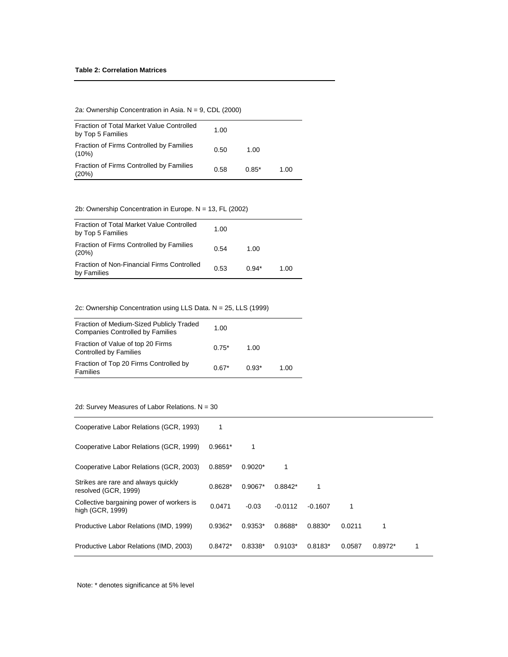2a: Ownership Concentration in Asia. N = 9, CDL (2000)

| Fraction of Total Market Value Controlled<br>by Top 5 Families | 1.00 |         |      |
|----------------------------------------------------------------|------|---------|------|
| Fraction of Firms Controlled by Families<br>$(10\%)$           | 0.50 | 1.00    |      |
| Fraction of Firms Controlled by Families<br>(20%)              | 0.58 | $0.85*$ | 1.00 |

2b: Ownership Concentration in Europe. N = 13, FL (2002)

| Fraction of Total Market Value Controlled<br>by Top 5 Families | 1.00 |         |      |
|----------------------------------------------------------------|------|---------|------|
| Fraction of Firms Controlled by Families<br>(20%)              | 0.54 | 1.00    |      |
| Fraction of Non-Financial Firms Controlled<br>by Families      | 0.53 | $0.94*$ | 1.00 |

2c: Ownership Concentration using LLS Data. N = 25, LLS (1999)

| Fraction of Medium-Sized Publicly Traded<br><b>Companies Controlled by Families</b> | 1.00    |         |      |
|-------------------------------------------------------------------------------------|---------|---------|------|
| Fraction of Value of top 20 Firms<br>Controlled by Families                         | $0.75*$ | 1.00    |      |
| Fraction of Top 20 Firms Controlled by<br>Families                                  | $0.67*$ | $0.93*$ | 1.00 |

2d: Survey Measures of Labor Relations. N = 30

| Cooperative Labor Relations (GCR, 1993)                       | 1         |           |           |           |        |           |  |
|---------------------------------------------------------------|-----------|-----------|-----------|-----------|--------|-----------|--|
| Cooperative Labor Relations (GCR, 1999)                       | $0.9661*$ |           |           |           |        |           |  |
| Cooperative Labor Relations (GCR, 2003)                       | $0.8859*$ | $0.9020*$ |           |           |        |           |  |
| Strikes are rare and always quickly<br>resolved (GCR, 1999)   | $0.8628*$ | $0.9067*$ | $0.8842*$ |           |        |           |  |
| Collective bargaining power of workers is<br>high (GCR, 1999) | 0.0471    | $-0.03$   | $-0.0112$ | $-0.1607$ | 1      |           |  |
| Productive Labor Relations (IMD, 1999)                        | $0.9362*$ | $0.9353*$ | 0.8688*   | $0.8830*$ | 0.0211 |           |  |
| Productive Labor Relations (IMD, 2003)                        | $0.8472*$ | 0.8338*   | $0.9103*$ | $0.8183*$ | 0.0587 | $0.8972*$ |  |

Note: \* denotes significance at 5% level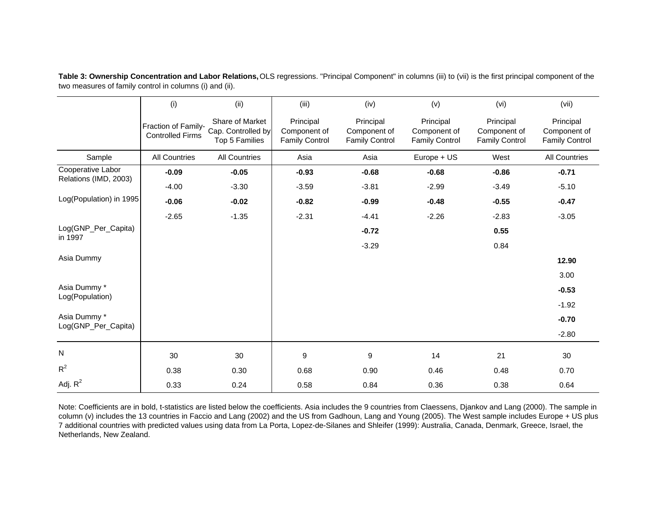|                                            | (i)                                            | (ii)                                                    | (iii)                                              | (iv)                                               | (v)                                                | (vi)                                               | (vii)                                              |
|--------------------------------------------|------------------------------------------------|---------------------------------------------------------|----------------------------------------------------|----------------------------------------------------|----------------------------------------------------|----------------------------------------------------|----------------------------------------------------|
|                                            | Fraction of Family-<br><b>Controlled Firms</b> | Share of Market<br>Cap. Controlled by<br>Top 5 Families | Principal<br>Component of<br><b>Family Control</b> | Principal<br>Component of<br><b>Family Control</b> | Principal<br>Component of<br><b>Family Control</b> | Principal<br>Component of<br><b>Family Control</b> | Principal<br>Component of<br><b>Family Control</b> |
| Sample                                     | <b>All Countries</b>                           | <b>All Countries</b>                                    | Asia                                               | Asia                                               | Europe + US                                        | West                                               | <b>All Countries</b>                               |
| Cooperative Labor<br>Relations (IMD, 2003) | $-0.09$                                        | $-0.05$                                                 | $-0.93$                                            | $-0.68$                                            | $-0.68$                                            | $-0.86$                                            | $-0.71$                                            |
|                                            | $-4.00$                                        | $-3.30$                                                 | $-3.59$                                            | $-3.81$                                            | $-2.99$                                            | $-3.49$                                            | $-5.10$                                            |
| Log(Population) in 1995                    | $-0.06$                                        | $-0.02$                                                 | $-0.82$                                            | $-0.99$                                            | $-0.48$                                            | $-0.55$                                            | $-0.47$                                            |
|                                            | $-2.65$                                        | $-1.35$                                                 | $-2.31$                                            | $-4.41$                                            | $-2.26$                                            | $-2.83$                                            | $-3.05$                                            |
| Log(GNP_Per_Capita)<br>in 1997             |                                                |                                                         |                                                    | $-0.72$                                            |                                                    | 0.55                                               |                                                    |
|                                            |                                                |                                                         |                                                    | $-3.29$                                            |                                                    | 0.84                                               |                                                    |
| Asia Dummy                                 |                                                |                                                         |                                                    |                                                    |                                                    |                                                    | 12.90                                              |
|                                            |                                                |                                                         |                                                    |                                                    |                                                    |                                                    | 3.00                                               |
| Asia Dummy *<br>Log(Population)            |                                                |                                                         |                                                    |                                                    |                                                    |                                                    | $-0.53$                                            |
|                                            |                                                |                                                         |                                                    |                                                    |                                                    |                                                    | $-1.92$                                            |
| Asia Dummy *                               |                                                |                                                         |                                                    |                                                    |                                                    |                                                    | $-0.70$                                            |
| Log(GNP_Per_Capita)                        |                                                |                                                         |                                                    |                                                    |                                                    |                                                    | $-2.80$                                            |
| N                                          | 30                                             | 30                                                      | 9                                                  | 9                                                  | 14                                                 | 21                                                 | 30                                                 |
| $R^2$                                      | 0.38                                           | 0.30                                                    | 0.68                                               | 0.90                                               | 0.46                                               | 0.48                                               | 0.70                                               |
| Adj. $R^2$                                 | 0.33                                           | 0.24                                                    | 0.58                                               | 0.84                                               | 0.36                                               | 0.38                                               | 0.64                                               |

Table 3: Ownership Concentration and Labor Relations, OLS regressions. "Principal Component" in columns (iii) to (vii) is the first principal component of the two measures of family control in columns (i) and (ii).

Note: Coefficients are in bold, t-statistics are listed below the coefficients. Asia includes the 9 countries from Claessens, Djankov and Lang (2000). The sample in column (v) includes the 13 countries in Faccio and Lang (2002) and the US from Gadhoun, Lang and Young (2005). The West sample includes Europe + US plus 7 additional countries with predicted values using data from La Porta, Lopez-de-Silanes and Shleifer (1999): Australia, Canada, Denmark, Greece, Israel, the Netherlands, New Zealand.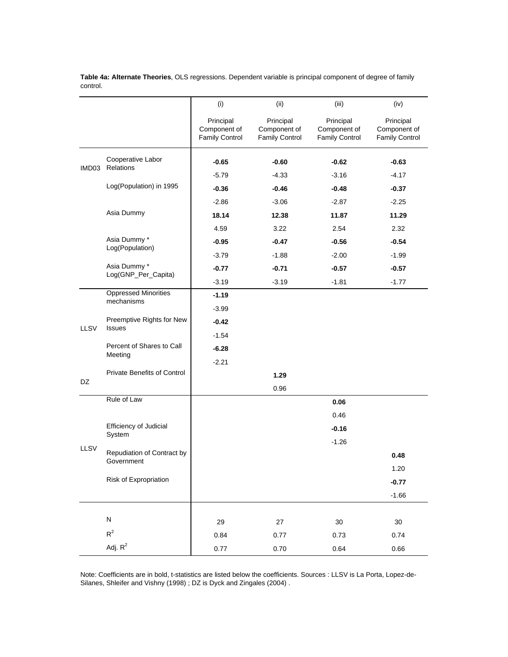|       |                                            | (i)                                                | (ii)                                               | (iii)                                              | (iv)                                               |
|-------|--------------------------------------------|----------------------------------------------------|----------------------------------------------------|----------------------------------------------------|----------------------------------------------------|
|       |                                            | Principal<br>Component of<br><b>Family Control</b> | Principal<br>Component of<br><b>Family Control</b> | Principal<br>Component of<br><b>Family Control</b> | Principal<br>Component of<br><b>Family Control</b> |
|       | Cooperative Labor                          | -0.65                                              | $-0.60$                                            | $-0.62$                                            | $-0.63$                                            |
| IMD03 | Relations                                  | $-5.79$                                            | $-4.33$                                            | $-3.16$                                            | $-4.17$                                            |
|       | Log(Population) in 1995                    | $-0.36$                                            | $-0.46$                                            | $-0.48$                                            | -0.37                                              |
|       |                                            | $-2.86$                                            | $-3.06$                                            | $-2.87$                                            | $-2.25$                                            |
|       | Asia Dummy                                 | 18.14                                              | 12.38                                              | 11.87                                              | 11.29                                              |
|       |                                            | 4.59                                               | 3.22                                               | 2.54                                               | 2.32                                               |
|       | Asia Dummy *                               | $-0.95$                                            | $-0.47$                                            | $-0.56$                                            | $-0.54$                                            |
|       | Log(Population)                            | $-3.79$                                            | $-1.88$                                            | $-2.00$                                            | $-1.99$                                            |
|       | Asia Dummy *                               | $-0.77$                                            | $-0.71$                                            | $-0.57$                                            | $-0.57$                                            |
|       | Log(GNP_Per_Capita)                        | $-3.19$                                            | $-3.19$                                            | $-1.81$                                            | $-1.77$                                            |
|       | <b>Oppressed Minorities</b><br>mechanisms  | $-1.19$                                            |                                                    |                                                    |                                                    |
|       |                                            | $-3.99$                                            |                                                    |                                                    |                                                    |
| LLSV  | Preemptive Rights for New<br><b>Issues</b> | -0.42                                              |                                                    |                                                    |                                                    |
|       |                                            | $-1.54$                                            |                                                    |                                                    |                                                    |
|       | Percent of Shares to Call<br>Meeting       | $-6.28$                                            |                                                    |                                                    |                                                    |
|       |                                            | $-2.21$                                            |                                                    |                                                    |                                                    |
| DZ    | <b>Private Benefits of Control</b>         |                                                    | 1.29                                               |                                                    |                                                    |
|       |                                            |                                                    | 0.96                                               |                                                    |                                                    |
|       | Rule of Law                                |                                                    |                                                    | 0.06                                               |                                                    |
|       |                                            |                                                    |                                                    | 0.46                                               |                                                    |
|       | Efficiency of Judicial<br>System           |                                                    |                                                    | $-0.16$                                            |                                                    |
| LLSV  |                                            |                                                    |                                                    | $-1.26$                                            |                                                    |
|       | Repudiation of Contract by<br>Government   |                                                    |                                                    |                                                    | 0.48                                               |
|       |                                            |                                                    |                                                    |                                                    | 1.20                                               |
|       | Risk of Expropriation                      |                                                    |                                                    |                                                    | $-0.77$                                            |
|       |                                            |                                                    |                                                    |                                                    | $-1.66$                                            |
|       |                                            |                                                    |                                                    |                                                    |                                                    |
|       | ${\sf N}$                                  | 29                                                 | 27                                                 | $30\,$                                             | $30\,$                                             |
|       | $R^2$                                      | 0.84                                               | 0.77                                               | 0.73                                               | 0.74                                               |
|       | Adj. $R^2$                                 | 0.77                                               | 0.70                                               | 0.64                                               | 0.66                                               |

**Table 4a: Alternate Theories**, OLS regressions. Dependent variable is principal component of degree of family control.

Note: Coefficients are in bold, t-statistics are listed below the coefficients. Sources : LLSV is La Porta, Lopez-de-Silanes, Shleifer and Vishny (1998) ; DZ is Dyck and Zingales (2004) .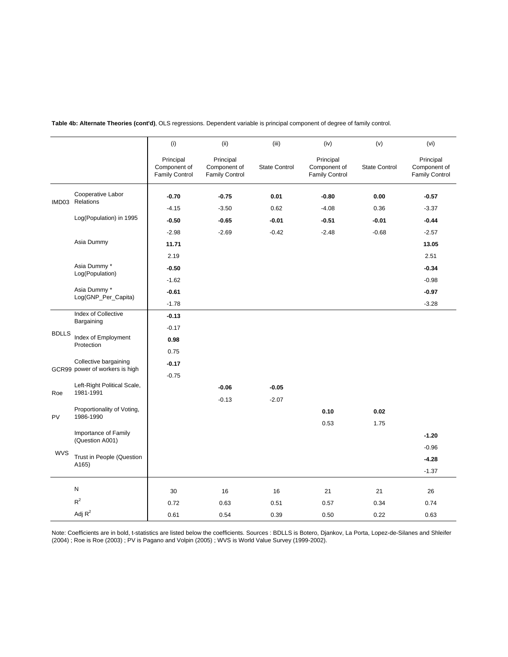|                                     |                                                         | (i)                                                | (ii)                                               | (iii)                | (iv)                                               | (v)           | (vi)                                               |
|-------------------------------------|---------------------------------------------------------|----------------------------------------------------|----------------------------------------------------|----------------------|----------------------------------------------------|---------------|----------------------------------------------------|
|                                     |                                                         | Principal<br>Component of<br><b>Family Control</b> | Principal<br>Component of<br><b>Family Control</b> | <b>State Control</b> | Principal<br>Component of<br><b>Family Control</b> | State Control | Principal<br>Component of<br><b>Family Control</b> |
|                                     | Cooperative Labor                                       | $-0.70$                                            | $-0.75$                                            | 0.01                 | $-0.80$                                            | 0.00          | $-0.57$                                            |
| IMD03                               | Relations                                               | $-4.15$                                            | $-3.50$                                            | 0.62                 | $-4.08$                                            | 0.36          | $-3.37$                                            |
|                                     | Log(Population) in 1995                                 | $-0.50$                                            | $-0.65$                                            | $-0.01$              | $-0.51$                                            | $-0.01$       | $-0.44$                                            |
|                                     |                                                         | $-2.98$                                            | $-2.69$                                            | $-0.42$              | $-2.48$                                            | $-0.68$       | $-2.57$                                            |
|                                     | Asia Dummy                                              | 11.71                                              |                                                    |                      |                                                    |               | 13.05                                              |
|                                     |                                                         | 2.19                                               |                                                    |                      |                                                    |               | 2.51                                               |
|                                     | Asia Dummy *                                            | $-0.50$                                            |                                                    |                      |                                                    |               | $-0.34$                                            |
|                                     | Log(Population)                                         | $-1.62$                                            |                                                    |                      |                                                    |               | $-0.98$                                            |
| Asia Dummy *<br>Log(GNP_Per_Capita) | $-0.61$                                                 |                                                    |                                                    |                      |                                                    | $-0.97$       |                                                    |
|                                     |                                                         | $-1.78$                                            |                                                    |                      |                                                    |               | $-3.28$                                            |
|                                     | <b>Index of Collective</b><br>Bargaining                | $-0.13$                                            |                                                    |                      |                                                    |               |                                                    |
| <b>BDLLS</b>                        |                                                         | $-0.17$                                            |                                                    |                      |                                                    |               |                                                    |
|                                     | Index of Employment<br>Protection                       | 0.98                                               |                                                    |                      |                                                    |               |                                                    |
|                                     |                                                         | 0.75                                               |                                                    |                      |                                                    |               |                                                    |
|                                     | Collective bargaining<br>GCR99 power of workers is high | $-0.17$                                            |                                                    |                      |                                                    |               |                                                    |
|                                     |                                                         | $-0.75$                                            |                                                    |                      |                                                    |               |                                                    |
| Roe                                 | Left-Right Political Scale,<br>1981-1991                |                                                    | $-0.06$                                            | $-0.05$              |                                                    |               |                                                    |
|                                     |                                                         |                                                    | $-0.13$                                            | $-2.07$              |                                                    |               |                                                    |
| <b>PV</b>                           | Proportionality of Voting,<br>1986-1990                 |                                                    |                                                    |                      | 0.10                                               | 0.02          |                                                    |
|                                     |                                                         |                                                    |                                                    |                      | 0.53                                               | 1.75          |                                                    |
|                                     | Importance of Family<br>(Question A001)                 |                                                    |                                                    |                      |                                                    |               | $-1.20$                                            |
| <b>WVS</b>                          |                                                         |                                                    |                                                    |                      |                                                    |               | $-0.96$                                            |
|                                     | Trust in People (Question<br>A165)                      |                                                    |                                                    |                      |                                                    |               | $-4.28$                                            |
|                                     |                                                         |                                                    |                                                    |                      |                                                    |               | $-1.37$                                            |
|                                     | N                                                       | 30                                                 | 16                                                 | 16                   | 21                                                 | 21            | 26                                                 |
|                                     | $R^2$                                                   | 0.72                                               | 0.63                                               | 0.51                 | 0.57                                               | 0.34          | 0.74                                               |
|                                     | Adj $R^2$                                               | 0.61                                               | 0.54                                               | 0.39                 | 0.50                                               | 0.22          | 0.63                                               |

**Table 4b: Alternate Theories (cont'd)**, OLS regressions. Dependent variable is principal component of degree of family control.

Note: Coefficients are in bold, t-statistics are listed below the coefficients. Sources : BDLLS is Botero, Djankov, La Porta, Lopez-de-Silanes and Shleifer (2004) ; Roe is Roe (2003) ; PV is Pagano and Volpin (2005) ; WVS is World Value Survey (1999-2002).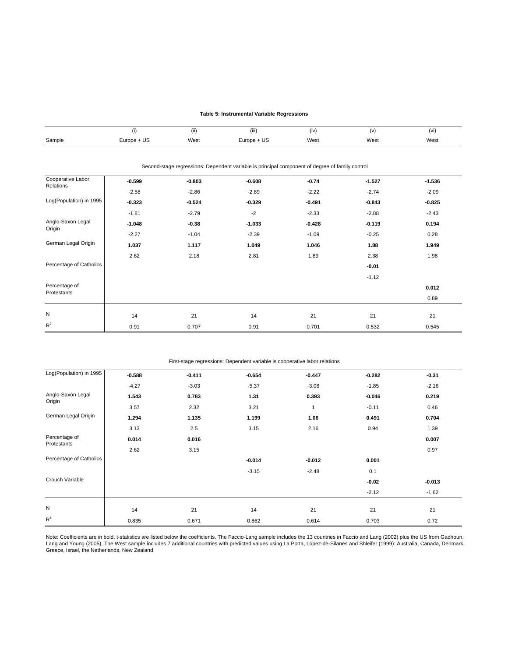#### **Table 5: Instrumental Variable Regressions**

|        |             | 1.11<br>(ii) | (iii)       | (iv) | /17  | (vi) |
|--------|-------------|--------------|-------------|------|------|------|
| Sample | Europe + US | West         | Europe + US | West | West | West |

|                                |          | Second-stage regressions: Dependent variable is principal component of degree of family control |          |          |          |          |
|--------------------------------|----------|-------------------------------------------------------------------------------------------------|----------|----------|----------|----------|
| Cooperative Labor<br>Relations | $-0.599$ | $-0.803$                                                                                        | $-0.608$ | $-0.74$  | $-1.527$ | $-1.536$ |
|                                | $-2.58$  | $-2.86$                                                                                         | $-2.89$  | $-2.22$  | $-2.74$  | $-2.09$  |
| Log(Population) in 1995        | $-0.323$ | $-0.524$                                                                                        | $-0.329$ | $-0.491$ | $-0.843$ | $-0.825$ |
|                                | $-1.81$  | $-2.79$                                                                                         | $-2$     | $-2.33$  | $-2.88$  | $-2.43$  |
| Anglo-Saxon Legal<br>Origin    | $-1.048$ | $-0.38$                                                                                         | $-1.033$ | $-0.428$ | $-0.119$ | 0.194    |
|                                | $-2.27$  | $-1.04$                                                                                         | $-2.39$  | $-1.09$  | $-0.25$  | 0.28     |
| German Legal Origin            | 1.037    | 1.117                                                                                           | 1.049    | 1.046    | 1.88     | 1.949    |
|                                | 2.62     | 2.18                                                                                            | 2.81     | 1.89     | 2.38     | 1.98     |
| Percentage of Catholics        |          |                                                                                                 |          |          | $-0.01$  |          |
|                                |          |                                                                                                 |          |          | $-1.12$  |          |
| Percentage of<br>Protestants   |          |                                                                                                 |          |          |          | 0.012    |
|                                |          |                                                                                                 |          |          |          | 0.89     |
|                                |          |                                                                                                 |          |          |          |          |
| N                              | 14       | 21                                                                                              | 14       | 21       | 21       | 21       |
| $R^2$                          | 0.91     | 0.707                                                                                           | 0.91     | 0.701    | 0.532    | 0.545    |

#### First-stage regressions: Dependent variable is cooperative labor relations

| Log(Population) in 1995      | $-0.588$ | $-0.411$ | $-0.654$ | $-0.447$     | $-0.282$ | $-0.31$  |
|------------------------------|----------|----------|----------|--------------|----------|----------|
|                              | $-4.27$  | $-3.03$  | $-5.37$  | $-3.08$      | $-1.85$  | $-2.16$  |
| Anglo-Saxon Legal<br>Origin  | 1.543    | 0.783    | 1.31     | 0.393        | $-0.046$ | 0.219    |
|                              | 3.57     | 2.32     | 3.21     | $\mathbf{1}$ | $-0.11$  | 0.46     |
| German Legal Origin          | 1.294    | 1.135    | 1.199    | 1.06         | 0.491    | 0.704    |
|                              | 3.13     | 2.5      | 3.15     | 2.16         | 0.94     | 1.39     |
| Percentage of<br>Protestants | 0.014    | 0.016    |          |              |          | 0.007    |
|                              | 2.62     | 3.15     |          |              |          | 0.97     |
| Percentage of Catholics      |          |          | $-0.014$ | $-0.012$     | 0.001    |          |
|                              |          |          | $-3.15$  | $-2.48$      | 0.1      |          |
| Crouch Variable              |          |          |          |              | $-0.02$  | $-0.013$ |
|                              |          |          |          |              | $-2.12$  | $-1.62$  |
| N                            |          |          |          |              |          |          |
|                              | 14       | 21       | 14       | 21           | 21       | 21       |
| $R^2$                        | 0.835    | 0.671    | 0.862    | 0.614        | 0.703    | 0.72     |

Note: Coefficients are in bold, t-statistics are listed below the coefficients. The Faccio-Lang sample includes the 13 countries in Faccio and Lang (2002) plus the US from Gadhoun, Lang and Young (2005). The West sample includes 7 additional countries with predicted values using La Porta, Lopez-de-Silanes and Shleifer (1999): Australia, Canada, Denmark, Greece, Israel, the Netherlands, New Zealand.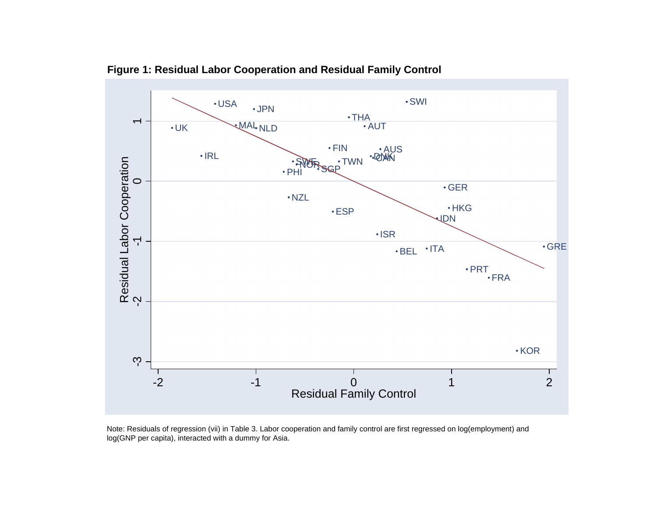

**Figure 1: Residual Labor Cooperation and Residual Family Control**

Note: Residuals of regression (vii) in Table 3. Labor cooperation and family control are first regressed on log(employment) and log(GNP per capita), interacted with a dummy for Asia.